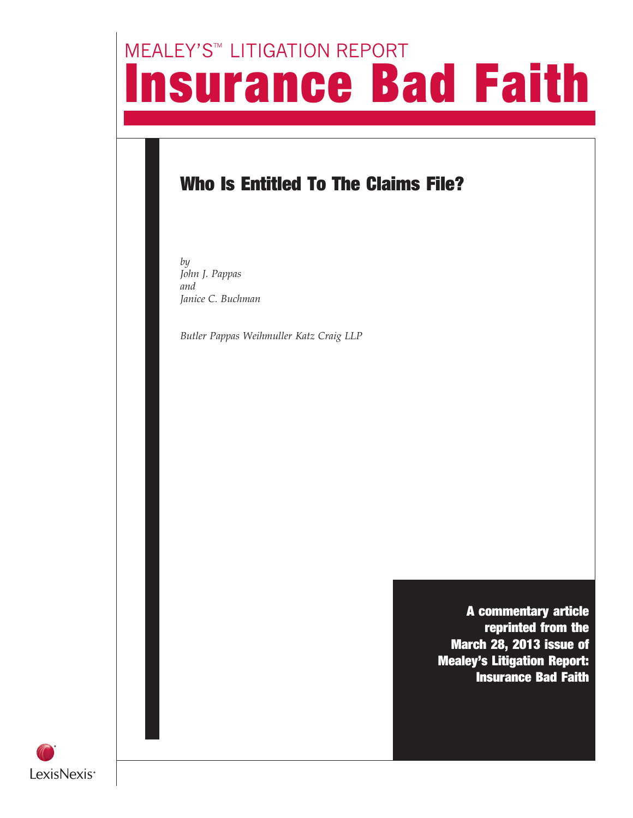# **MEALEY'S<sup>™</sup> LITIGATION REPORT** Insurance Bad Faith

### Who Is Entitled To The Claims File?

by John J. Pappas and Janice C. Buchman

Butler Pappas Weihmuller Katz Craig LLP

A commentary article reprinted from the March 28, 2013 issue of Mealey's Litigation Report: Insurance Bad Faith

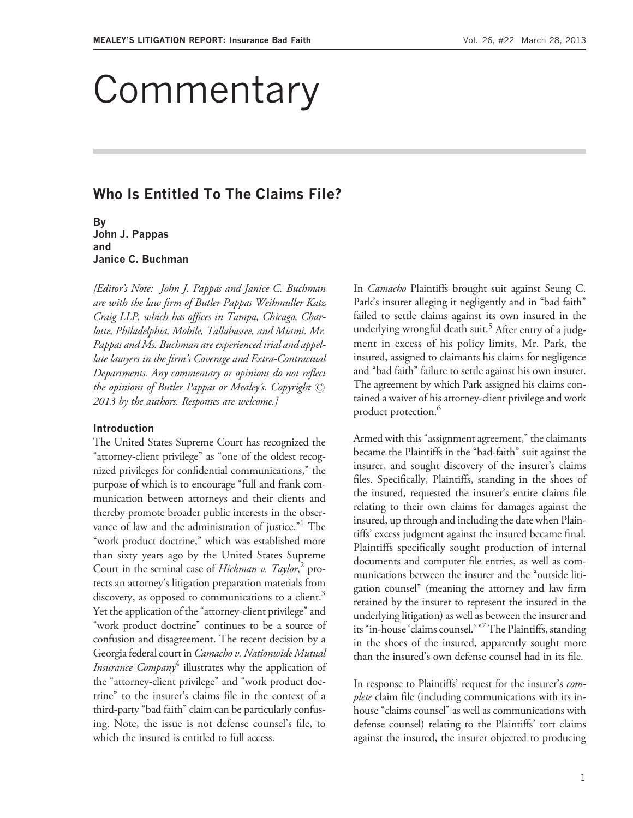## Commentary

### Who Is Entitled To The Claims File?

By John J. Pappas and Janice C. Buchman

[Editor's Note: John J. Pappas and Janice C. Buchman are with the law firm of Butler Pappas Weihmuller Katz Craig LLP, which has offices in Tampa, Chicago, Charlotte, Philadelphia, Mobile, Tallahassee, and Miami. Mr. Pappas and Ms. Buchman are experienced trial and appellate lawyers in the firm's Coverage and Extra-Contractual Departments. Any commentary or opinions do not reflect the opinions of Butler Pappas or Mealey's. Copyright  $\circled{c}$ 2013 by the authors. Responses are welcome.]

#### Introduction

The United States Supreme Court has recognized the "attorney-client privilege" as "one of the oldest recognized privileges for confidential communications,'' the purpose of which is to encourage "full and frank communication between attorneys and their clients and thereby promote broader public interests in the observance of law and the administration of justice."<sup>1</sup> The "work product doctrine," which was established more than sixty years ago by the United States Supreme Court in the seminal case of *Hickman v. Taylor*,<sup>2</sup> protects an attorney's litigation preparation materials from discovery, as opposed to communications to a client.<sup>3</sup> Yet the application of the "attorney-client privilege" and "work product doctrine" continues to be a source of confusion and disagreement. The recent decision by a Georgia federal court in Camacho v. Nationwide Mutual *Insurance Company*<sup>4</sup> illustrates why the application of the "attorney-client privilege" and "work product doctrine'' to the insurer's claims file in the context of a third-party ''bad faith'' claim can be particularly confusing. Note, the issue is not defense counsel's file, to which the insured is entitled to full access.

In *Camacho* Plaintiffs brought suit against Seung C. Park's insurer alleging it negligently and in "bad faith" failed to settle claims against its own insured in the underlying wrongful death suit.<sup>5</sup> After entry of a judgment in excess of his policy limits, Mr. Park, the insured, assigned to claimants his claims for negligence and "bad faith" failure to settle against his own insurer. The agreement by which Park assigned his claims contained a waiver of his attorney-client privilege and work product protection.<sup>6</sup>

Armed with this "assignment agreement," the claimants became the Plaintiffs in the ''bad-faith'' suit against the insurer, and sought discovery of the insurer's claims files. Specifically, Plaintiffs, standing in the shoes of the insured, requested the insurer's entire claims file relating to their own claims for damages against the insured, up through and including the date when Plaintiffs' excess judgment against the insured became final. Plaintiffs specifically sought production of internal documents and computer file entries, as well as communications between the insurer and the "outside litigation counsel'' (meaning the attorney and law firm retained by the insurer to represent the insured in the underlying litigation) as well as between the insurer and its "in-house 'claims counsel.' "7 The Plaintiffs, standing in the shoes of the insured, apparently sought more than the insured's own defense counsel had in its file.

In response to Plaintiffs' request for the insurer's *complete* claim file (including communications with its inhouse "claims counsel" as well as communications with defense counsel) relating to the Plaintiffs' tort claims against the insured, the insurer objected to producing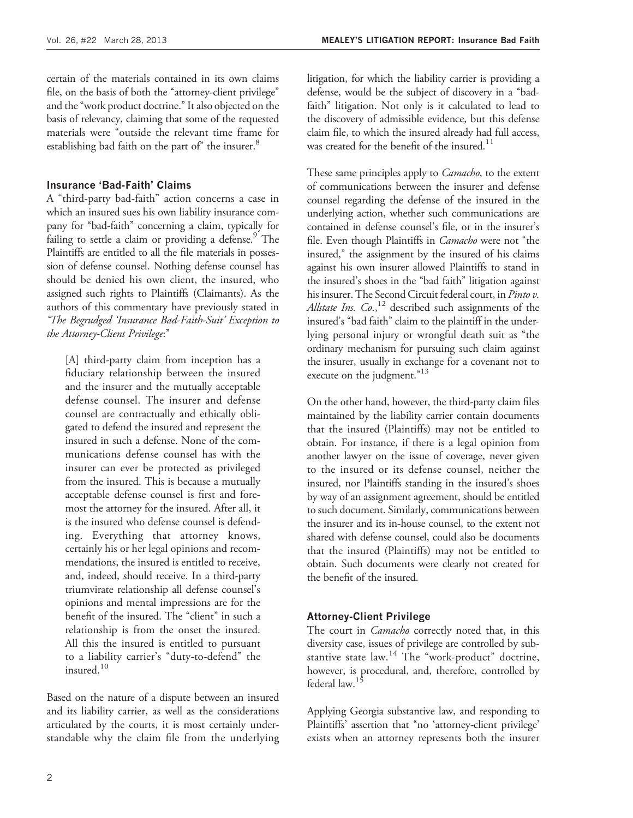certain of the materials contained in its own claims file, on the basis of both the "attorney-client privilege" and the ''work product doctrine.'' It also objected on the basis of relevancy, claiming that some of the requested materials were ''outside the relevant time frame for establishing bad faith on the part of" the insurer.<sup>8</sup>

#### Insurance 'Bad-Faith' Claims

A ''third-party bad-faith'' action concerns a case in which an insured sues his own liability insurance company for "bad-faith" concerning a claim, typically for failing to settle a claim or providing a defense. $\degree$  The Plaintiffs are entitled to all the file materials in possession of defense counsel. Nothing defense counsel has should be denied his own client, the insured, who assigned such rights to Plaintiffs (Claimants). As the authors of this commentary have previously stated in ''The Begrudged 'Insurance Bad-Faith-Suit' Exception to the Attorney-Client Privilege:''

[A] third-party claim from inception has a fiduciary relationship between the insured and the insurer and the mutually acceptable defense counsel. The insurer and defense counsel are contractually and ethically obligated to defend the insured and represent the insured in such a defense. None of the communications defense counsel has with the insurer can ever be protected as privileged from the insured. This is because a mutually acceptable defense counsel is first and foremost the attorney for the insured. After all, it is the insured who defense counsel is defending. Everything that attorney knows, certainly his or her legal opinions and recommendations, the insured is entitled to receive, and, indeed, should receive. In a third-party triumvirate relationship all defense counsel's opinions and mental impressions are for the benefit of the insured. The "client" in such a relationship is from the onset the insured. All this the insured is entitled to pursuant to a liability carrier's ''duty-to-defend'' the insured.<sup>10</sup>

Based on the nature of a dispute between an insured and its liability carrier, as well as the considerations articulated by the courts, it is most certainly understandable why the claim file from the underlying

litigation, for which the liability carrier is providing a defense, would be the subject of discovery in a ''badfaith'' litigation. Not only is it calculated to lead to the discovery of admissible evidence, but this defense claim file, to which the insured already had full access, was created for the benefit of the insured. $11$ 

These same principles apply to *Camacho*, to the extent of communications between the insurer and defense counsel regarding the defense of the insured in the underlying action, whether such communications are contained in defense counsel's file, or in the insurer's file. Even though Plaintiffs in *Camacho* were not "the insured,'' the assignment by the insured of his claims against his own insurer allowed Plaintiffs to stand in the insured's shoes in the ''bad faith'' litigation against his insurer. The Second Circuit federal court, in Pinto v. Allstate Ins.  $Co$ <sup>12</sup> described such assignments of the insured's ''bad faith'' claim to the plaintiff in the underlying personal injury or wrongful death suit as ''the ordinary mechanism for pursuing such claim against the insurer, usually in exchange for a covenant not to execute on the judgment."<sup>13</sup>

On the other hand, however, the third-party claim files maintained by the liability carrier contain documents that the insured (Plaintiffs) may not be entitled to obtain. For instance, if there is a legal opinion from another lawyer on the issue of coverage, never given to the insured or its defense counsel, neither the insured, nor Plaintiffs standing in the insured's shoes by way of an assignment agreement, should be entitled to such document. Similarly, communications between the insurer and its in-house counsel, to the extent not shared with defense counsel, could also be documents that the insured (Plaintiffs) may not be entitled to obtain. Such documents were clearly not created for the benefit of the insured.

#### Attorney-Client Privilege

The court in *Camacho* correctly noted that, in this diversity case, issues of privilege are controlled by substantive state law.<sup>14</sup> The "work-product" doctrine, however, is procedural, and, therefore, controlled by federal law.<sup>15</sup>

Applying Georgia substantive law, and responding to Plaintiffs' assertion that "no 'attorney-client privilege' exists when an attorney represents both the insurer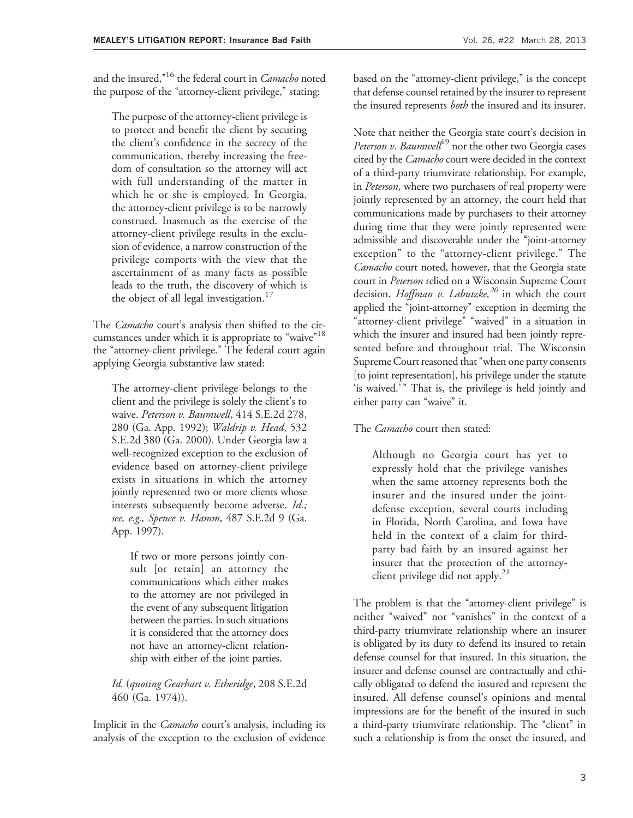and the insured,"<sup>16</sup> the federal court in *Camacho* noted the purpose of the "attorney-client privilege," stating:

The purpose of the attorney-client privilege is to protect and benefit the client by securing the client's confidence in the secrecy of the communication, thereby increasing the freedom of consultation so the attorney will act with full understanding of the matter in which he or she is employed. In Georgia, the attorney-client privilege is to be narrowly construed. Inasmuch as the exercise of the attorney-client privilege results in the exclusion of evidence, a narrow construction of the privilege comports with the view that the ascertainment of as many facts as possible leads to the truth, the discovery of which is the object of all legal investigation.<sup>17</sup>

The *Camacho* court's analysis then shifted to the circumstances under which it is appropriate to "waive"<sup>18</sup> the ''attorney-client privilege.'' The federal court again applying Georgia substantive law stated:

The attorney-client privilege belongs to the client and the privilege is solely the client's to waive. Peterson v. Baumwell, 414 S.E.2d 278, 280 (Ga. App. 1992); Waldrip v. Head, 532 S.E.2d 380 (Ga. 2000). Under Georgia law a well-recognized exception to the exclusion of evidence based on attorney-client privilege exists in situations in which the attorney jointly represented two or more clients whose interests subsequently become adverse. *Id.*; see, e.g., Spence v. Hamm, 487 S.E.2d 9 (Ga. App. 1997).

If two or more persons jointly consult [or retain] an attorney the communications which either makes to the attorney are not privileged in the event of any subsequent litigation between the parties. In such situations it is considered that the attorney does not have an attorney-client relationship with either of the joint parties.

Id. (quoting Gearhart v. Etheridge, 208 S.E.2d 460 (Ga. 1974)).

Implicit in the *Camacho* court's analysis, including its analysis of the exception to the exclusion of evidence based on the "attorney-client privilege," is the concept that defense counsel retained by the insurer to represent the insured represents *both* the insured and its insurer.

Note that neither the Georgia state court's decision in Peterson v. Baumwell<sup>19</sup> nor the other two Georgia cases cited by the Camacho court were decided in the context of a third-party triumvirate relationship. For example, in Peterson, where two purchasers of real property were jointly represented by an attorney, the court held that communications made by purchasers to their attorney during time that they were jointly represented were admissible and discoverable under the ''joint-attorney exception'' to the ''attorney-client privilege.'' The Camacho court noted, however, that the Georgia state court in Peterson relied on a Wisconsin Supreme Court decision, *Hoffman v. Labutzke*,<sup>20</sup> in which the court applied the ''joint-attorney'' exception in deeming the "attorney-client privilege" "waived" in a situation in which the insurer and insured had been jointly represented before and throughout trial. The Wisconsin Supreme Court reasoned that ''when one party consents [to joint representation], his privilege under the statute 'is waived.'" That is, the privilege is held jointly and either party can "waive" it.

The *Camacho* court then stated:

Although no Georgia court has yet to expressly hold that the privilege vanishes when the same attorney represents both the insurer and the insured under the jointdefense exception, several courts including in Florida, North Carolina, and Iowa have held in the context of a claim for thirdparty bad faith by an insured against her insurer that the protection of the attorneyclient privilege did not apply. $21$ 

The problem is that the "attorney-client privilege" is neither "waived" nor "vanishes" in the context of a third-party triumvirate relationship where an insurer is obligated by its duty to defend its insured to retain defense counsel for that insured. In this situation, the insurer and defense counsel are contractually and ethically obligated to defend the insured and represent the insured. All defense counsel's opinions and mental impressions are for the benefit of the insured in such a third-party triumvirate relationship. The "client" in such a relationship is from the onset the insured, and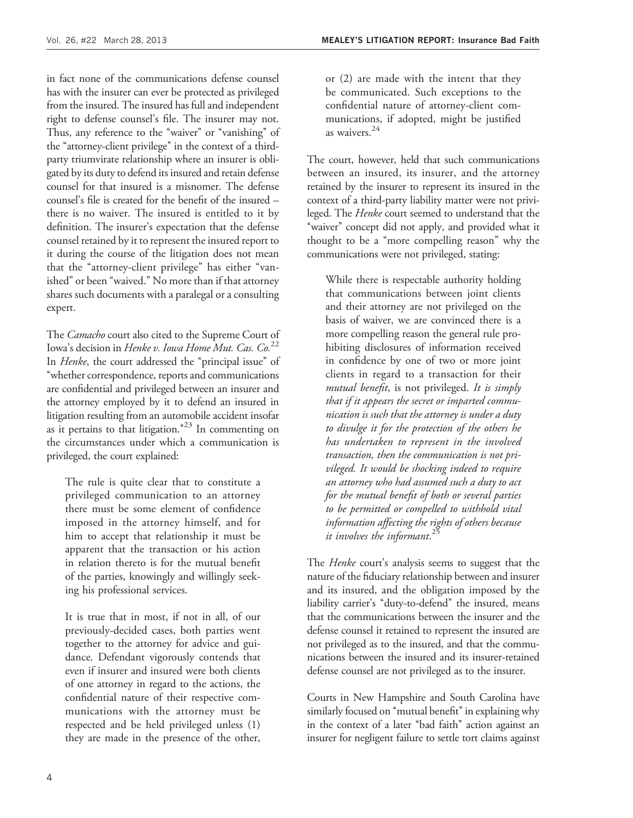in fact none of the communications defense counsel has with the insurer can ever be protected as privileged from the insured. The insured has full and independent right to defense counsel's file. The insurer may not. Thus, any reference to the "waiver" or "vanishing" of the "attorney-client privilege" in the context of a thirdparty triumvirate relationship where an insurer is obligated by its duty to defend its insured and retain defense counsel for that insured is a misnomer. The defense counsel's file is created for the benefit of the insured – there is no waiver. The insured is entitled to it by definition. The insurer's expectation that the defense counsel retained by it to represent the insured report to it during the course of the litigation does not mean that the "attorney-client privilege" has either "vanished'' or been ''waived.'' No more than if that attorney shares such documents with a paralegal or a consulting expert.

The *Camacho* court also cited to the Supreme Court of Iowa's decision in Henke v. Iowa Home Mut. Cas. Co.<sup>22</sup> In *Henke*, the court addressed the "principal issue" of ''whether correspondence, reports and communications are confidential and privileged between an insurer and the attorney employed by it to defend an insured in litigation resulting from an automobile accident insofar as it pertains to that litigation.<sup> $23$ </sup> In commenting on the circumstances under which a communication is privileged, the court explained:

The rule is quite clear that to constitute a privileged communication to an attorney there must be some element of confidence imposed in the attorney himself, and for him to accept that relationship it must be apparent that the transaction or his action in relation thereto is for the mutual benefit of the parties, knowingly and willingly seeking his professional services.

It is true that in most, if not in all, of our previously-decided cases, both parties went together to the attorney for advice and guidance. Defendant vigorously contends that even if insurer and insured were both clients of one attorney in regard to the actions, the confidential nature of their respective communications with the attorney must be respected and be held privileged unless (1) they are made in the presence of the other, or (2) are made with the intent that they be communicated. Such exceptions to the confidential nature of attorney-client communications, if adopted, might be justified as waivers.<sup>24</sup>

The court, however, held that such communications between an insured, its insurer, and the attorney retained by the insurer to represent its insured in the context of a third-party liability matter were not privileged. The Henke court seemed to understand that the "waiver" concept did not apply, and provided what it thought to be a ''more compelling reason'' why the communications were not privileged, stating:

While there is respectable authority holding that communications between joint clients and their attorney are not privileged on the basis of waiver, we are convinced there is a more compelling reason the general rule prohibiting disclosures of information received in confidence by one of two or more joint clients in regard to a transaction for their mutual benefit, is not privileged. It is simply that if it appears the secret or imparted communication is such that the attorney is under a duty to divulge it for the protection of the others he has undertaken to represent in the involved transaction, then the communication is not privileged. It would be shocking indeed to require an attorney who had assumed such a duty to act for the mutual benefit of both or several parties to be permitted or compelled to withhold vital information affecting the rights of others because it involves the informant. 25

The *Henke* court's analysis seems to suggest that the nature of the fiduciary relationship between and insurer and its insured, and the obligation imposed by the liability carrier's "duty-to-defend" the insured, means that the communications between the insurer and the defense counsel it retained to represent the insured are not privileged as to the insured, and that the communications between the insured and its insurer-retained defense counsel are not privileged as to the insurer.

Courts in New Hampshire and South Carolina have similarly focused on "mutual benefit" in explaining why in the context of a later "bad faith" action against an insurer for negligent failure to settle tort claims against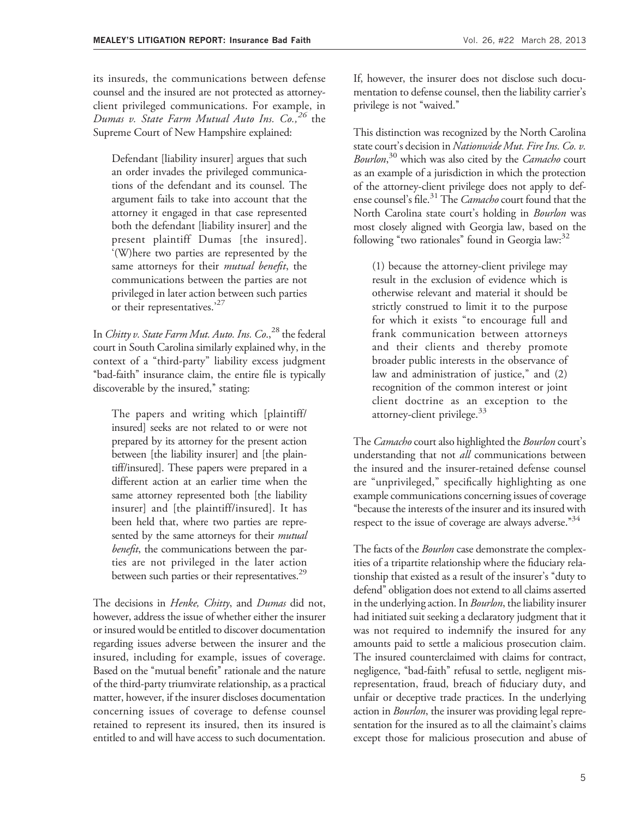its insureds, the communications between defense counsel and the insured are not protected as attorneyclient privileged communications. For example, in Dumas v. State Farm Mutual Auto Ins.  $Co.$ <sup>26</sup> the Supreme Court of New Hampshire explained:

Defendant [liability insurer] argues that such an order invades the privileged communications of the defendant and its counsel. The argument fails to take into account that the attorney it engaged in that case represented both the defendant [liability insurer] and the present plaintiff Dumas [the insured]. '(W)here two parties are represented by the same attorneys for their mutual benefit, the communications between the parties are not privileged in later action between such parties or their representatives.<sup>'27</sup>

In Chitty v. State Farm Mut. Auto. Ins.  $Co.^{28}$  the federal court in South Carolina similarly explained why, in the context of a ''third-party'' liability excess judgment ''bad-faith'' insurance claim, the entire file is typically discoverable by the insured," stating:

The papers and writing which [plaintiff/ insured] seeks are not related to or were not prepared by its attorney for the present action between [the liability insurer] and [the plaintiff/insured]. These papers were prepared in a different action at an earlier time when the same attorney represented both [the liability insurer] and [the plaintiff/insured]. It has been held that, where two parties are represented by the same attorneys for their *mutual* benefit, the communications between the parties are not privileged in the later action between such parties or their representatives.<sup>29</sup>

The decisions in *Henke*, *Chitty*, and *Dumas* did not, however, address the issue of whether either the insurer or insured would be entitled to discover documentation regarding issues adverse between the insurer and the insured, including for example, issues of coverage. Based on the "mutual benefit" rationale and the nature of the third-party triumvirate relationship, as a practical matter, however, if the insurer discloses documentation concerning issues of coverage to defense counsel retained to represent its insured, then its insured is entitled to and will have access to such documentation.

If, however, the insurer does not disclose such documentation to defense counsel, then the liability carrier's privilege is not "waived."

This distinction was recognized by the North Carolina state court's decision in Nationwide Mut. Fire Ins. Co. v. Bourlon,<sup>30</sup> which was also cited by the Camacho court as an example of a jurisdiction in which the protection of the attorney-client privilege does not apply to defense counsel's file.<sup>31</sup> The *Camacho* court found that the North Carolina state court's holding in Bourlon was most closely aligned with Georgia law, based on the following "two rationales" found in Georgia law: $32$ 

(1) because the attorney-client privilege may result in the exclusion of evidence which is otherwise relevant and material it should be strictly construed to limit it to the purpose for which it exists "to encourage full and frank communication between attorneys and their clients and thereby promote broader public interests in the observance of law and administration of justice," and (2) recognition of the common interest or joint client doctrine as an exception to the attorney-client privilege.<sup>33</sup>

The Camacho court also highlighted the Bourlon court's understanding that not *all* communications between the insured and the insurer-retained defense counsel are "unprivileged," specifically highlighting as one example communications concerning issues of coverage ''because the interests of the insurer and its insured with respect to the issue of coverage are always adverse."<sup>34</sup>

The facts of the *Bourlon* case demonstrate the complexities of a tripartite relationship where the fiduciary relationship that existed as a result of the insurer's ''duty to defend'' obligation does not extend to all claims asserted in the underlying action. In *Bourlon*, the liability insurer had initiated suit seeking a declaratory judgment that it was not required to indemnify the insured for any amounts paid to settle a malicious prosecution claim. The insured counterclaimed with claims for contract, negligence, "bad-faith" refusal to settle, negligent misrepresentation, fraud, breach of fiduciary duty, and unfair or deceptive trade practices. In the underlying action in *Bourlon*, the insurer was providing legal representation for the insured as to all the claimaint's claims except those for malicious prosecution and abuse of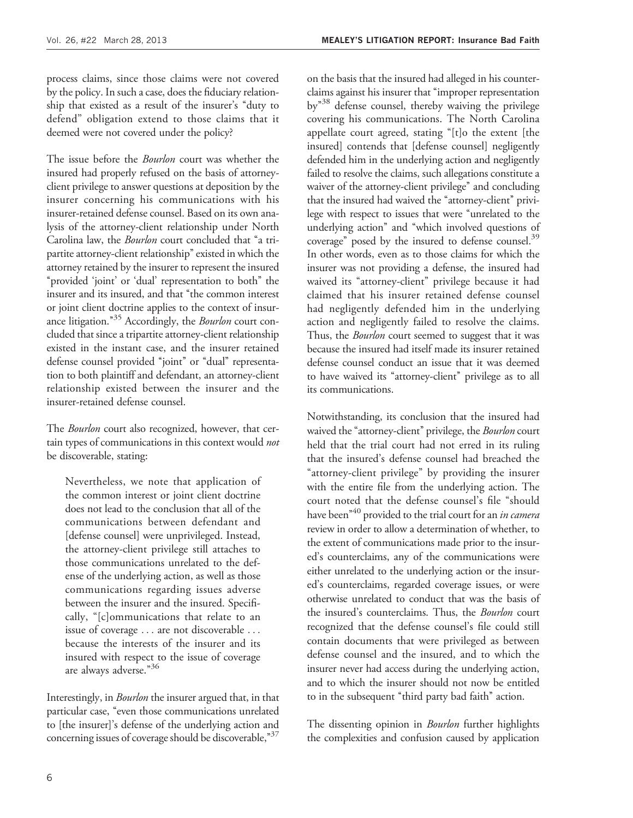process claims, since those claims were not covered by the policy. In such a case, does the fiduciary relationship that existed as a result of the insurer's ''duty to defend'' obligation extend to those claims that it deemed were not covered under the policy?

The issue before the *Bourlon* court was whether the insured had properly refused on the basis of attorneyclient privilege to answer questions at deposition by the insurer concerning his communications with his insurer-retained defense counsel. Based on its own analysis of the attorney-client relationship under North Carolina law, the Bourlon court concluded that "a tripartite attorney-client relationship" existed in which the attorney retained by the insurer to represent the insured "provided 'joint' or 'dual' representation to both" the insurer and its insured, and that ''the common interest or joint client doctrine applies to the context of insurance litigation."<sup>35</sup> Accordingly, the *Bourlon* court concluded that since a tripartite attorney-client relationship existed in the instant case, and the insurer retained defense counsel provided "joint" or "dual" representation to both plaintiff and defendant, an attorney-client relationship existed between the insurer and the insurer-retained defense counsel.

The Bourlon court also recognized, however, that certain types of communications in this context would not be discoverable, stating:

Nevertheless, we note that application of the common interest or joint client doctrine does not lead to the conclusion that all of the communications between defendant and [defense counsel] were unprivileged. Instead, the attorney-client privilege still attaches to those communications unrelated to the defense of the underlying action, as well as those communications regarding issues adverse between the insurer and the insured. Specifically, ''[c]ommunications that relate to an issue of coverage ... are not discoverable ... because the interests of the insurer and its insured with respect to the issue of coverage are always adverse."36

Interestingly, in Bourlon the insurer argued that, in that particular case, "even those communications unrelated to [the insurer]'s defense of the underlying action and concerning issues of coverage should be discoverable,"<sup>37</sup>

on the basis that the insured had alleged in his counterclaims against his insurer that ''improper representation by<sup>"38</sup> defense counsel, thereby waiving the privilege covering his communications. The North Carolina appellate court agreed, stating ''[t]o the extent [the insured] contends that [defense counsel] negligently defended him in the underlying action and negligently failed to resolve the claims, such allegations constitute a waiver of the attorney-client privilege" and concluding that the insured had waived the "attorney-client" privilege with respect to issues that were ''unrelated to the underlying action'' and ''which involved questions of coverage" posed by the insured to defense counsel.<sup>39</sup> In other words, even as to those claims for which the insurer was not providing a defense, the insured had waived its "attorney-client" privilege because it had claimed that his insurer retained defense counsel had negligently defended him in the underlying action and negligently failed to resolve the claims. Thus, the *Bourlon* court seemed to suggest that it was because the insured had itself made its insurer retained defense counsel conduct an issue that it was deemed to have waived its "attorney-client" privilege as to all its communications.

Notwithstanding, its conclusion that the insured had waived the "attorney-client" privilege, the Bourlon court held that the trial court had not erred in its ruling that the insured's defense counsel had breached the "attorney-client privilege" by providing the insurer with the entire file from the underlying action. The court noted that the defense counsel's file ''should have been<sup> $*40$ </sup> provided to the trial court for an *in camera* review in order to allow a determination of whether, to the extent of communications made prior to the insured's counterclaims, any of the communications were either unrelated to the underlying action or the insured's counterclaims, regarded coverage issues, or were otherwise unrelated to conduct that was the basis of the insured's counterclaims. Thus, the Bourlon court recognized that the defense counsel's file could still contain documents that were privileged as between defense counsel and the insured, and to which the insurer never had access during the underlying action, and to which the insurer should not now be entitled to in the subsequent "third party bad faith" action.

The dissenting opinion in *Bourlon* further highlights the complexities and confusion caused by application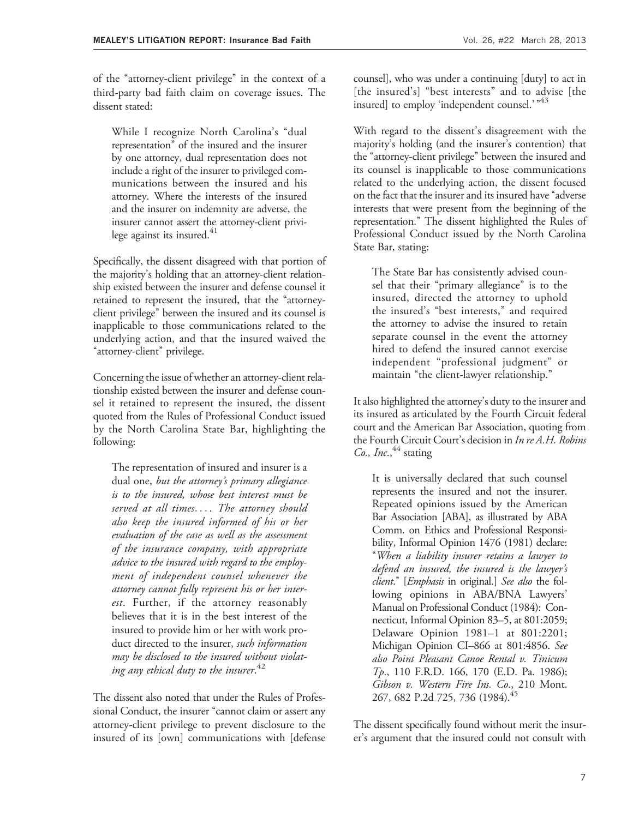of the ''attorney-client privilege'' in the context of a third-party bad faith claim on coverage issues. The dissent stated:

While I recognize North Carolina's ''dual representation'' of the insured and the insurer by one attorney, dual representation does not include a right of the insurer to privileged communications between the insured and his attorney. Where the interests of the insured and the insurer on indemnity are adverse, the insurer cannot assert the attorney-client privilege against its insured.<sup>41</sup>

Specifically, the dissent disagreed with that portion of the majority's holding that an attorney-client relationship existed between the insurer and defense counsel it retained to represent the insured, that the ''attorneyclient privilege'' between the insured and its counsel is inapplicable to those communications related to the underlying action, and that the insured waived the "attorney-client" privilege.

Concerning the issue of whether an attorney-client relationship existed between the insurer and defense counsel it retained to represent the insured, the dissent quoted from the Rules of Professional Conduct issued by the North Carolina State Bar, highlighting the following:

The representation of insured and insurer is a dual one, but the attorney's primary allegiance is to the insured, whose best interest must be served at all times.... The attorney should also keep the insured informed of his or her evaluation of the case as well as the assessment of the insurance company, with appropriate advice to the insured with regard to the employment of independent counsel whenever the attorney cannot fully represent his or her interest. Further, if the attorney reasonably believes that it is in the best interest of the insured to provide him or her with work product directed to the insurer, *such information* may be disclosed to the insured without violating any ethical duty to the insurer.  $^{42}$ 

The dissent also noted that under the Rules of Professional Conduct, the insurer "cannot claim or assert any attorney-client privilege to prevent disclosure to the insured of its [own] communications with [defense

counsel], who was under a continuing [duty] to act in [the insured's] "best interests" and to advise [the insured] to employ 'independent counsel.'  $*43$ 

With regard to the dissent's disagreement with the majority's holding (and the insurer's contention) that the ''attorney-client privilege'' between the insured and its counsel is inapplicable to those communications related to the underlying action, the dissent focused on the fact that the insurer and its insured have "adverse" interests that were present from the beginning of the representation.'' The dissent highlighted the Rules of Professional Conduct issued by the North Carolina State Bar, stating:

The State Bar has consistently advised counsel that their "primary allegiance" is to the insured, directed the attorney to uphold the insured's ''best interests,'' and required the attorney to advise the insured to retain separate counsel in the event the attorney hired to defend the insured cannot exercise independent ''professional judgment'' or maintain "the client-lawyer relationship."

It also highlighted the attorney's duty to the insurer and its insured as articulated by the Fourth Circuit federal court and the American Bar Association, quoting from the Fourth Circuit Court's decision in In re A.H. Robins Co., Inc.,  $44$  stating

It is universally declared that such counsel represents the insured and not the insurer. Repeated opinions issued by the American Bar Association [ABA], as illustrated by ABA Comm. on Ethics and Professional Responsibility, Informal Opinion 1476 (1981) declare: ''When a liability insurer retains a lawyer to defend an insured, the insured is the lawyer's client." [Emphasis in original.] See also the following opinions in ABA/BNA Lawyers' Manual on Professional Conduct (1984): Connecticut, Informal Opinion 83–5, at 801:2059; Delaware Opinion 1981–1 at 801:2201; Michigan Opinion CI–866 at 801:4856. See also Point Pleasant Canoe Rental v. Tinicum Tp., 110 F.R.D. 166, 170 (E.D. Pa. 1986); Gibson v. Western Fire Ins. Co., 210 Mont. 267, 682 P.2d 725, 736 (1984).<sup>45</sup>

The dissent specifically found without merit the insurer's argument that the insured could not consult with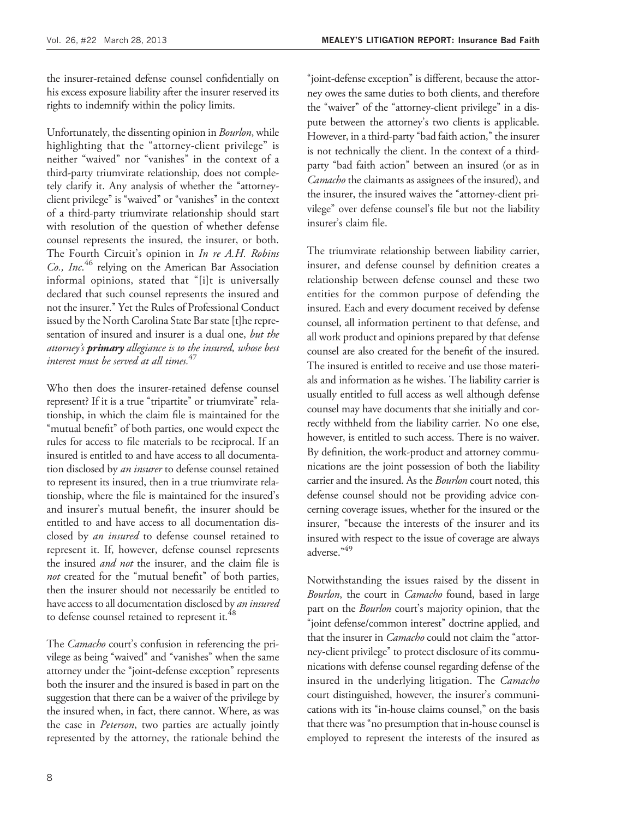the insurer-retained defense counsel confidentially on his excess exposure liability after the insurer reserved its rights to indemnify within the policy limits.

Unfortunately, the dissenting opinion in Bourlon, while highlighting that the "attorney-client privilege" is neither ''waived'' nor ''vanishes'' in the context of a third-party triumvirate relationship, does not completely clarify it. Any analysis of whether the "attorneyclient privilege" is "waived" or "vanishes" in the context of a third-party triumvirate relationship should start with resolution of the question of whether defense counsel represents the insured, the insurer, or both. The Fourth Circuit's opinion in In re A.H. Robins Co., Inc.<sup>46</sup> relying on the American Bar Association informal opinions, stated that "[i]t is universally declared that such counsel represents the insured and not the insurer.'' Yet the Rules of Professional Conduct issued by the North Carolina State Bar state [t]he representation of insured and insurer is a dual one, but the attorney's **primary** allegiance is to the insured, whose best interest must be served at all times.  $47$ 

Who then does the insurer-retained defense counsel represent? If it is a true "tripartite" or triumvirate" relationship, in which the claim file is maintained for the "mutual benefit" of both parties, one would expect the rules for access to file materials to be reciprocal. If an insured is entitled to and have access to all documentation disclosed by an insurer to defense counsel retained to represent its insured, then in a true triumvirate relationship, where the file is maintained for the insured's and insurer's mutual benefit, the insurer should be entitled to and have access to all documentation disclosed by an insured to defense counsel retained to represent it. If, however, defense counsel represents the insured *and not* the insurer, and the claim file is not created for the "mutual benefit" of both parties, then the insurer should not necessarily be entitled to have access to all documentation disclosed by an insured to defense counsel retained to represent it.<sup>48</sup>

The Camacho court's confusion in referencing the privilege as being "waived" and "vanishes" when the same attorney under the ''joint-defense exception'' represents both the insurer and the insured is based in part on the suggestion that there can be a waiver of the privilege by the insured when, in fact, there cannot. Where, as was the case in Peterson, two parties are actually jointly represented by the attorney, the rationale behind the

''joint-defense exception'' is different, because the attorney owes the same duties to both clients, and therefore the "waiver" of the "attorney-client privilege" in a dispute between the attorney's two clients is applicable. However, in a third-party "bad faith action," the insurer is not technically the client. In the context of a thirdparty "bad faith action" between an insured (or as in Camacho the claimants as assignees of the insured), and the insurer, the insured waives the ''attorney-client privilege'' over defense counsel's file but not the liability insurer's claim file.

The triumvirate relationship between liability carrier, insurer, and defense counsel by definition creates a relationship between defense counsel and these two entities for the common purpose of defending the insured. Each and every document received by defense counsel, all information pertinent to that defense, and all work product and opinions prepared by that defense counsel are also created for the benefit of the insured. The insured is entitled to receive and use those materials and information as he wishes. The liability carrier is usually entitled to full access as well although defense counsel may have documents that she initially and correctly withheld from the liability carrier. No one else, however, is entitled to such access. There is no waiver. By definition, the work-product and attorney communications are the joint possession of both the liability carrier and the insured. As the *Bourlon* court noted, this defense counsel should not be providing advice concerning coverage issues, whether for the insured or the insurer, "because the interests of the insurer and its insured with respect to the issue of coverage are always adverse."<sup>49</sup>

Notwithstanding the issues raised by the dissent in Bourlon, the court in Camacho found, based in large part on the *Bourlon* court's majority opinion, that the ''joint defense/common interest'' doctrine applied, and that the insurer in *Camacho* could not claim the "attorney-client privilege'' to protect disclosure of its communications with defense counsel regarding defense of the insured in the underlying litigation. The Camacho court distinguished, however, the insurer's communications with its ''in-house claims counsel,'' on the basis that there was ''no presumption that in-house counsel is employed to represent the interests of the insured as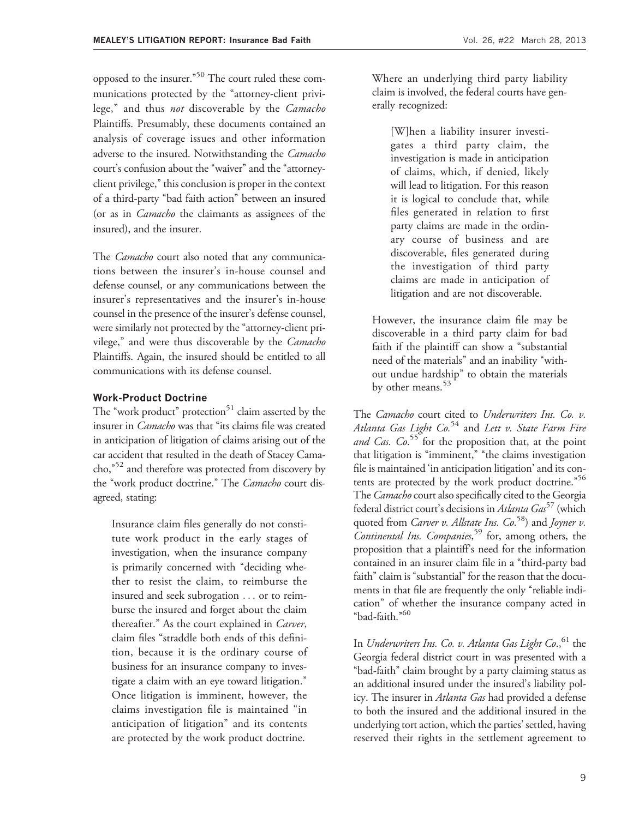opposed to the insurer."<sup>50</sup> The court ruled these communications protected by the "attorney-client privilege," and thus *not* discoverable by the *Camacho* Plaintiffs. Presumably, these documents contained an analysis of coverage issues and other information adverse to the insured. Notwithstanding the Camacho court's confusion about the ''waiver'' and the ''attorneyclient privilege,'' this conclusion is proper in the context of a third-party ''bad faith action'' between an insured (or as in Camacho the claimants as assignees of the insured), and the insurer.

The *Camacho* court also noted that any communications between the insurer's in-house counsel and defense counsel, or any communications between the insurer's representatives and the insurer's in-house counsel in the presence of the insurer's defense counsel, were similarly not protected by the "attorney-client privilege," and were thus discoverable by the Camacho Plaintiffs. Again, the insured should be entitled to all communications with its defense counsel.

#### Work-Product Doctrine

The "work product" protection<sup>51</sup> claim asserted by the insurer in *Camacho* was that "its claims file was created in anticipation of litigation of claims arising out of the car accident that resulted in the death of Stacey Camacho,"<sup>52</sup> and therefore was protected from discovery by the "work product doctrine." The Camacho court disagreed, stating:

Insurance claim files generally do not constitute work product in the early stages of investigation, when the insurance company is primarily concerned with "deciding whether to resist the claim, to reimburse the insured and seek subrogation ... or to reimburse the insured and forget about the claim thereafter.'' As the court explained in Carver, claim files ''straddle both ends of this definition, because it is the ordinary course of business for an insurance company to investigate a claim with an eye toward litigation.'' Once litigation is imminent, however, the claims investigation file is maintained ''in anticipation of litigation'' and its contents are protected by the work product doctrine.

Where an underlying third party liability claim is involved, the federal courts have generally recognized:

[W]hen a liability insurer investigates a third party claim, the investigation is made in anticipation of claims, which, if denied, likely will lead to litigation. For this reason it is logical to conclude that, while files generated in relation to first party claims are made in the ordinary course of business and are discoverable, files generated during the investigation of third party claims are made in anticipation of litigation and are not discoverable.

However, the insurance claim file may be discoverable in a third party claim for bad faith if the plaintiff can show a "substantial need of the materials'' and an inability ''without undue hardship'' to obtain the materials by other means.<sup>53</sup>

The Camacho court cited to Underwriters Ins. Co. v. Atlanta Gas Light  $Co^{54}$  and Lett v. State Farm Fire and Cas. Co.<sup>55</sup> for the proposition that, at the point that litigation is "imminent," "the claims investigation file is maintained 'in anticipation litigation' and its contents are protected by the work product doctrine."<sup>56</sup> The Camacho court also specifically cited to the Georgia federal district court's decisions in Atlanta Gas<sup>57</sup> (which quoted from *Carver v. Allstate Ins. Co.*<sup>58</sup>) and *Joyner v.* Continental Ins. Companies,<sup>59</sup> for, among others, the proposition that a plaintiff's need for the information contained in an insurer claim file in a "third-party bad faith" claim is "substantial" for the reason that the documents in that file are frequently the only "reliable indication'' of whether the insurance company acted in ''bad-faith.''60

In Underwriters Ins. Co. v. Atlanta Gas Light Co., $^{61}$  the Georgia federal district court in was presented with a ''bad-faith'' claim brought by a party claiming status as an additional insured under the insured's liability policy. The insurer in Atlanta Gas had provided a defense to both the insured and the additional insured in the underlying tort action, which the parties' settled, having reserved their rights in the settlement agreement to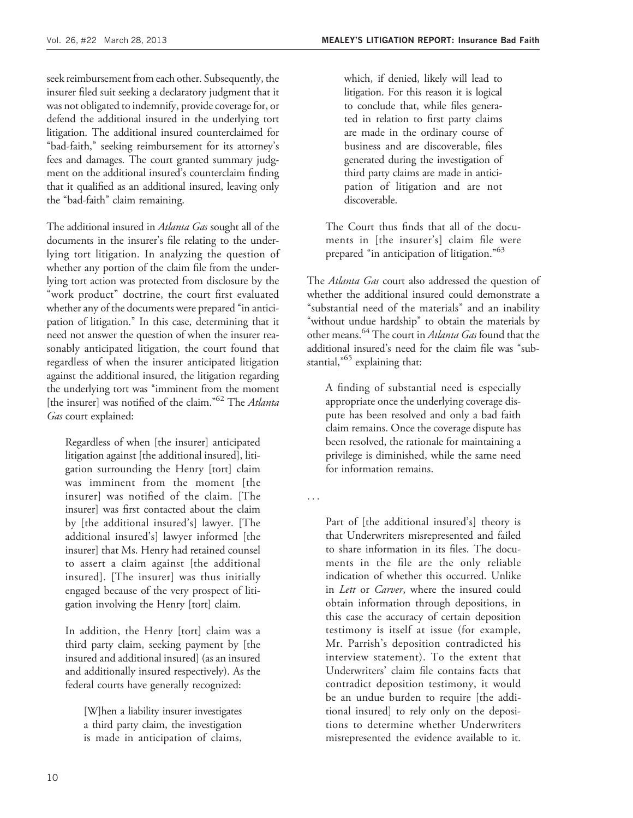seek reimbursement from each other. Subsequently, the insurer filed suit seeking a declaratory judgment that it was not obligated to indemnify, provide coverage for, or defend the additional insured in the underlying tort litigation. The additional insured counterclaimed for ''bad-faith,'' seeking reimbursement for its attorney's fees and damages. The court granted summary judgment on the additional insured's counterclaim finding that it qualified as an additional insured, leaving only the "bad-faith" claim remaining.

The additional insured in *Atlanta Gas* sought all of the documents in the insurer's file relating to the underlying tort litigation. In analyzing the question of whether any portion of the claim file from the underlying tort action was protected from disclosure by the "work product" doctrine, the court first evaluated whether any of the documents were prepared "in anticipation of litigation.'' In this case, determining that it need not answer the question of when the insurer reasonably anticipated litigation, the court found that regardless of when the insurer anticipated litigation against the additional insured, the litigation regarding the underlying tort was ''imminent from the moment [the insurer] was notified of the claim."<sup>62</sup> The Atlanta Gas court explained:

Regardless of when [the insurer] anticipated litigation against [the additional insured], litigation surrounding the Henry [tort] claim was imminent from the moment [the insurer] was notified of the claim. [The insurer] was first contacted about the claim by [the additional insured's] lawyer. [The additional insured's] lawyer informed [the insurer] that Ms. Henry had retained counsel to assert a claim against [the additional insured]. [The insurer] was thus initially engaged because of the very prospect of litigation involving the Henry [tort] claim.

In addition, the Henry [tort] claim was a third party claim, seeking payment by [the insured and additional insured] (as an insured and additionally insured respectively). As the federal courts have generally recognized:

[W]hen a liability insurer investigates a third party claim, the investigation is made in anticipation of claims,

which, if denied, likely will lead to litigation. For this reason it is logical to conclude that, while files generated in relation to first party claims are made in the ordinary course of business and are discoverable, files generated during the investigation of third party claims are made in anticipation of litigation and are not discoverable.

The Court thus finds that all of the documents in [the insurer's] claim file were prepared "in anticipation of litigation."<sup>63</sup>

The *Atlanta Gas* court also addressed the question of whether the additional insured could demonstrate a "substantial need of the materials" and an inability "without undue hardship" to obtain the materials by other means.<sup>64</sup> The court in *Atlanta Gas* found that the additional insured's need for the claim file was "substantial, $^{65}$  explaining that:

A finding of substantial need is especially appropriate once the underlying coverage dispute has been resolved and only a bad faith claim remains. Once the coverage dispute has been resolved, the rationale for maintaining a privilege is diminished, while the same need for information remains.

...

Part of [the additional insured's] theory is that Underwriters misrepresented and failed to share information in its files. The documents in the file are the only reliable indication of whether this occurred. Unlike in Lett or Carver, where the insured could obtain information through depositions, in this case the accuracy of certain deposition testimony is itself at issue (for example, Mr. Parrish's deposition contradicted his interview statement). To the extent that Underwriters' claim file contains facts that contradict deposition testimony, it would be an undue burden to require [the additional insured] to rely only on the depositions to determine whether Underwriters misrepresented the evidence available to it.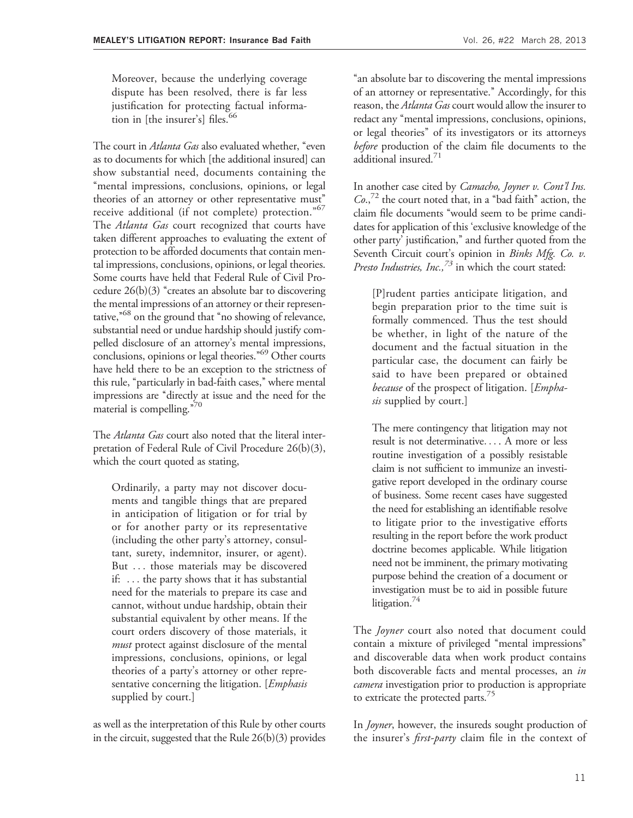Moreover, because the underlying coverage dispute has been resolved, there is far less justification for protecting factual information in [the insurer's] files.<sup>66</sup>

The court in *Atlanta Gas* also evaluated whether, "even as to documents for which [the additional insured] can show substantial need, documents containing the "mental impressions, conclusions, opinions, or legal theories of an attorney or other representative must'' receive additional (if not complete) protection."<sup>67</sup> The *Atlanta Gas* court recognized that courts have taken different approaches to evaluating the extent of protection to be afforded documents that contain mental impressions, conclusions, opinions, or legal theories. Some courts have held that Federal Rule of Civil Procedure  $26(b)(3)$  "creates an absolute bar to discovering the mental impressions of an attorney or their representative,<sup>"68</sup> on the ground that "no showing of relevance, substantial need or undue hardship should justify compelled disclosure of an attorney's mental impressions, conclusions, opinions or legal theories."<sup>69</sup> Other courts have held there to be an exception to the strictness of this rule, "particularly in bad-faith cases," where mental impressions are ''directly at issue and the need for the material is compelling."70

The *Atlanta Gas* court also noted that the literal interpretation of Federal Rule of Civil Procedure 26(b)(3), which the court quoted as stating,

Ordinarily, a party may not discover documents and tangible things that are prepared in anticipation of litigation or for trial by or for another party or its representative (including the other party's attorney, consultant, surety, indemnitor, insurer, or agent). But ... those materials may be discovered if: ... the party shows that it has substantial need for the materials to prepare its case and cannot, without undue hardship, obtain their substantial equivalent by other means. If the court orders discovery of those materials, it *must* protect against disclosure of the mental impressions, conclusions, opinions, or legal theories of a party's attorney or other representative concerning the litigation. [*Emphasis* supplied by court.]

as well as the interpretation of this Rule by other courts in the circuit, suggested that the Rule 26(b)(3) provides

''an absolute bar to discovering the mental impressions of an attorney or representative.'' Accordingly, for this reason, the *Atlanta Gas* court would allow the insurer to redact any "mental impressions, conclusions, opinions, or legal theories'' of its investigators or its attorneys before production of the claim file documents to the additional insured.<sup>71</sup>

In another case cited by *Camacho*, Joyner v. Cont'l Ins.  $Co.$ <sup>72</sup> the court noted that, in a "bad faith" action, the claim file documents ''would seem to be prime candidates for application of this 'exclusive knowledge of the other party' justification,'' and further quoted from the Seventh Circuit court's opinion in Binks Mfg. Co. v. Presto Industries, Inc.,  $73$  in which the court stated:

[P]rudent parties anticipate litigation, and begin preparation prior to the time suit is formally commenced. Thus the test should be whether, in light of the nature of the document and the factual situation in the particular case, the document can fairly be said to have been prepared or obtained because of the prospect of litigation. [*Empha*sis supplied by court.]

The mere contingency that litigation may not result is not determinative... . A more or less routine investigation of a possibly resistable claim is not sufficient to immunize an investigative report developed in the ordinary course of business. Some recent cases have suggested the need for establishing an identifiable resolve to litigate prior to the investigative efforts resulting in the report before the work product doctrine becomes applicable. While litigation need not be imminent, the primary motivating purpose behind the creation of a document or investigation must be to aid in possible future litigation. $44$ 

The *Joyner* court also noted that document could contain a mixture of privileged ''mental impressions'' and discoverable data when work product contains both discoverable facts and mental processes, an in camera investigation prior to production is appropriate to extricate the protected parts.<sup>75</sup>

In *Joyner*, however, the insureds sought production of the insurer's *first-party* claim file in the context of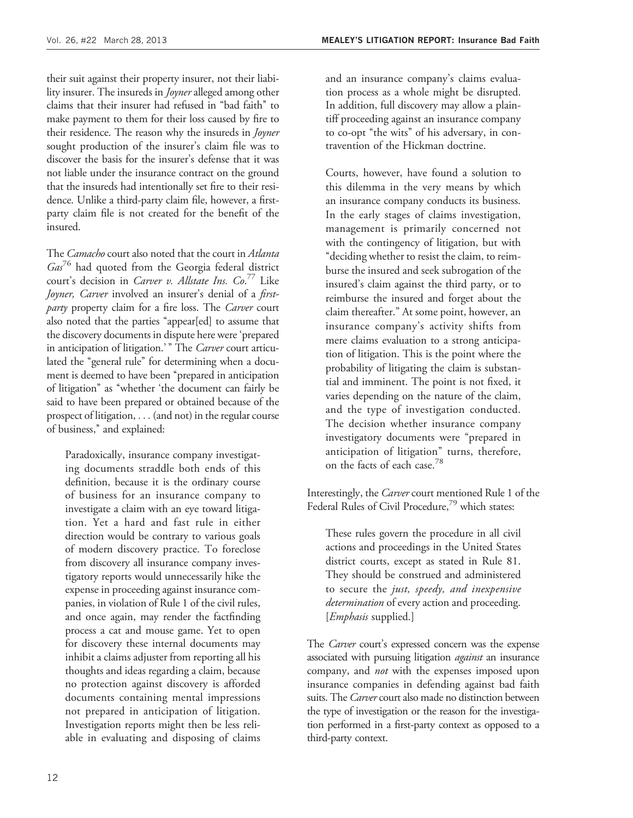their suit against their property insurer, not their liability insurer. The insureds in *Joyner* alleged among other claims that their insurer had refused in ''bad faith'' to make payment to them for their loss caused by fire to their residence. The reason why the insureds in Joyner sought production of the insurer's claim file was to discover the basis for the insurer's defense that it was not liable under the insurance contract on the ground that the insureds had intentionally set fire to their residence. Unlike a third-party claim file, however, a firstparty claim file is not created for the benefit of the insured.

The *Camacho* court also noted that the court in *Atlanta*  $Ga<sub>s</sub><sup>76</sup>$  had quoted from the Georgia federal district court's decision in Carver v. Allstate Ins. Co.<sup>77</sup> Like Joyner, Carver involved an insurer's denial of a firstparty property claim for a fire loss. The Carver court also noted that the parties ''appear[ed] to assume that the discovery documents in dispute here were 'prepared in anticipation of litigation.'" The Carver court articulated the "general rule" for determining when a document is deemed to have been "prepared in anticipation of litigation'' as ''whether 'the document can fairly be said to have been prepared or obtained because of the prospect of litigation, ... (and not) in the regular course of business,'' and explained:

Paradoxically, insurance company investigating documents straddle both ends of this definition, because it is the ordinary course of business for an insurance company to investigate a claim with an eye toward litigation. Yet a hard and fast rule in either direction would be contrary to various goals of modern discovery practice. To foreclose from discovery all insurance company investigatory reports would unnecessarily hike the expense in proceeding against insurance companies, in violation of Rule 1 of the civil rules, and once again, may render the factfinding process a cat and mouse game. Yet to open for discovery these internal documents may inhibit a claims adjuster from reporting all his thoughts and ideas regarding a claim, because no protection against discovery is afforded documents containing mental impressions not prepared in anticipation of litigation. Investigation reports might then be less reliable in evaluating and disposing of claims and an insurance company's claims evaluation process as a whole might be disrupted. In addition, full discovery may allow a plaintiff proceeding against an insurance company to co-opt ''the wits'' of his adversary, in contravention of the Hickman doctrine.

Courts, however, have found a solution to this dilemma in the very means by which an insurance company conducts its business. In the early stages of claims investigation, management is primarily concerned not with the contingency of litigation, but with ''deciding whether to resist the claim, to reimburse the insured and seek subrogation of the insured's claim against the third party, or to reimburse the insured and forget about the claim thereafter.'' At some point, however, an insurance company's activity shifts from mere claims evaluation to a strong anticipation of litigation. This is the point where the probability of litigating the claim is substantial and imminent. The point is not fixed, it varies depending on the nature of the claim, and the type of investigation conducted. The decision whether insurance company investigatory documents were ''prepared in anticipation of litigation'' turns, therefore, on the facts of each case.<sup>78</sup>

Interestingly, the Carver court mentioned Rule 1 of the Federal Rules of Civil Procedure,<sup>79</sup> which states:

These rules govern the procedure in all civil actions and proceedings in the United States district courts, except as stated in Rule 81. They should be construed and administered to secure the just, speedy, and inexpensive determination of every action and proceeding. [*Emphasis* supplied.]

The *Carver* court's expressed concern was the expense associated with pursuing litigation *against* an insurance company, and not with the expenses imposed upon insurance companies in defending against bad faith suits. The Carver court also made no distinction between the type of investigation or the reason for the investigation performed in a first-party context as opposed to a third-party context.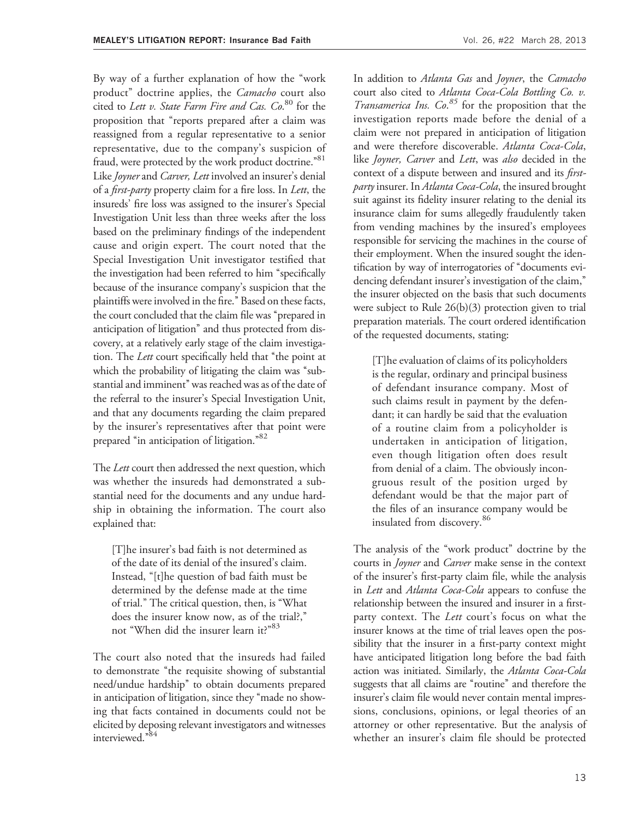By way of a further explanation of how the ''work product" doctrine applies, the Camacho court also cited to *Lett v. State Farm Fire and Cas. Co*.<sup>80</sup> for the proposition that "reports prepared after a claim was reassigned from a regular representative to a senior representative, due to the company's suspicion of fraud, were protected by the work product doctrine.<sup>"81</sup> Like Joyner and Carver, Lett involved an insurer's denial of a *first-party* property claim for a fire loss. In *Lett*, the insureds' fire loss was assigned to the insurer's Special Investigation Unit less than three weeks after the loss based on the preliminary findings of the independent cause and origin expert. The court noted that the Special Investigation Unit investigator testified that the investigation had been referred to him ''specifically because of the insurance company's suspicion that the plaintiffs were involved in the fire.'' Based on these facts, the court concluded that the claim file was ''prepared in anticipation of litigation'' and thus protected from discovery, at a relatively early stage of the claim investigation. The Lett court specifically held that "the point at which the probability of litigating the claim was "substantial and imminent'' was reached was as of the date of the referral to the insurer's Special Investigation Unit, and that any documents regarding the claim prepared by the insurer's representatives after that point were prepared "in anticipation of litigation."<sup>82</sup>

The *Lett* court then addressed the next question, which was whether the insureds had demonstrated a substantial need for the documents and any undue hardship in obtaining the information. The court also explained that:

[T]he insurer's bad faith is not determined as of the date of its denial of the insured's claim. Instead, ''[t]he question of bad faith must be determined by the defense made at the time of trial.'' The critical question, then, is ''What does the insurer know now, as of the trial?,'' not "When did the insurer learn it?"<sup>83</sup>

The court also noted that the insureds had failed to demonstrate ''the requisite showing of substantial need/undue hardship'' to obtain documents prepared in anticipation of litigation, since they "made no showing that facts contained in documents could not be elicited by deposing relevant investigators and witnesses interviewed."84

In addition to Atlanta Gas and Joyner, the Camacho court also cited to Atlanta Coca-Cola Bottling Co. v. Transamerica Ins. Co.<sup>85</sup> for the proposition that the investigation reports made before the denial of a claim were not prepared in anticipation of litigation and were therefore discoverable. Atlanta Coca-Cola, like Joyner, Carver and Lett, was also decided in the context of a dispute between and insured and its *first*party insurer. In Atlanta Coca-Cola, the insured brought suit against its fidelity insurer relating to the denial its insurance claim for sums allegedly fraudulently taken from vending machines by the insured's employees responsible for servicing the machines in the course of their employment. When the insured sought the identification by way of interrogatories of ''documents evidencing defendant insurer's investigation of the claim,'' the insurer objected on the basis that such documents were subject to Rule 26(b)(3) protection given to trial preparation materials. The court ordered identification of the requested documents, stating:

[T]he evaluation of claims of its policyholders is the regular, ordinary and principal business of defendant insurance company. Most of such claims result in payment by the defendant; it can hardly be said that the evaluation of a routine claim from a policyholder is undertaken in anticipation of litigation, even though litigation often does result from denial of a claim. The obviously incongruous result of the position urged by defendant would be that the major part of the files of an insurance company would be insulated from discovery.<sup>86</sup>

The analysis of the "work product" doctrine by the courts in Joyner and Carver make sense in the context of the insurer's first-party claim file, while the analysis in Lett and Atlanta Coca-Cola appears to confuse the relationship between the insured and insurer in a firstparty context. The *Lett* court's focus on what the insurer knows at the time of trial leaves open the possibility that the insurer in a first-party context might have anticipated litigation long before the bad faith action was initiated. Similarly, the Atlanta Coca-Cola suggests that all claims are "routine" and therefore the insurer's claim file would never contain mental impressions, conclusions, opinions, or legal theories of an attorney or other representative. But the analysis of whether an insurer's claim file should be protected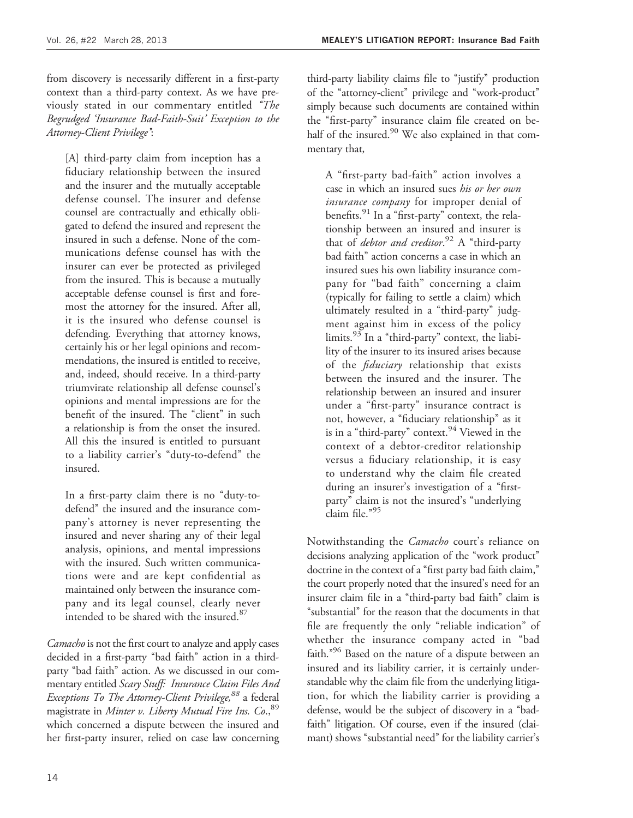from discovery is necessarily different in a first-party context than a third-party context. As we have previously stated in our commentary entitled "The Begrudged 'Insurance Bad-Faith-Suit' Exception to the Attorney-Client Privilege'':

[A] third-party claim from inception has a fiduciary relationship between the insured and the insurer and the mutually acceptable defense counsel. The insurer and defense counsel are contractually and ethically obligated to defend the insured and represent the insured in such a defense. None of the communications defense counsel has with the insurer can ever be protected as privileged from the insured. This is because a mutually acceptable defense counsel is first and foremost the attorney for the insured. After all, it is the insured who defense counsel is defending. Everything that attorney knows, certainly his or her legal opinions and recommendations, the insured is entitled to receive, and, indeed, should receive. In a third-party triumvirate relationship all defense counsel's opinions and mental impressions are for the benefit of the insured. The "client" in such a relationship is from the onset the insured. All this the insured is entitled to pursuant to a liability carrier's ''duty-to-defend'' the insured.

In a first-party claim there is no "duty-todefend'' the insured and the insurance company's attorney is never representing the insured and never sharing any of their legal analysis, opinions, and mental impressions with the insured. Such written communications were and are kept confidential as maintained only between the insurance company and its legal counsel, clearly never intended to be shared with the insured.<sup>87</sup>

Camacho is not the first court to analyze and apply cases decided in a first-party ''bad faith'' action in a thirdparty "bad faith" action. As we discussed in our commentary entitled Scary Stuff: Insurance Claim Files And Exceptions To The Attorney-Client Privilege,<sup>88</sup> a federal magistrate in Minter v. Liberty Mutual Fire Ins. Co., 89 which concerned a dispute between the insured and her first-party insurer, relied on case law concerning

third-party liability claims file to ''justify'' production of the "attorney-client" privilege and "work-product" simply because such documents are contained within the ''first-party'' insurance claim file created on behalf of the insured. $90$  We also explained in that commentary that,

A ''first-party bad-faith'' action involves a case in which an insured sues his or her own insurance company for improper denial of benefits.<sup>91</sup> In a "first-party" context, the relationship between an insured and insurer is that of *debtor and creditor*.<sup>92</sup> A "third-party bad faith'' action concerns a case in which an insured sues his own liability insurance company for "bad faith" concerning a claim (typically for failing to settle a claim) which ultimately resulted in a ''third-party'' judgment against him in excess of the policy limits.<sup>93</sup> In a "third-party" context, the liability of the insurer to its insured arises because of the fiduciary relationship that exists between the insured and the insurer. The relationship between an insured and insurer under a "first-party" insurance contract is not, however, a "fiduciary relationship" as it is in a "third-party" context.  $94$  Viewed in the context of a debtor-creditor relationship versus a fiduciary relationship, it is easy to understand why the claim file created during an insurer's investigation of a "firstparty" claim is not the insured's "underlying claim file."95

Notwithstanding the *Camacho* court's reliance on decisions analyzing application of the "work product" doctrine in the context of a "first party bad faith claim," the court properly noted that the insured's need for an insurer claim file in a ''third-party bad faith'' claim is ''substantial'' for the reason that the documents in that file are frequently the only ''reliable indication'' of whether the insurance company acted in "bad faith."<sup>96</sup> Based on the nature of a dispute between an insured and its liability carrier, it is certainly understandable why the claim file from the underlying litigation, for which the liability carrier is providing a defense, would be the subject of discovery in a ''badfaith'' litigation. Of course, even if the insured (claimant) shows "substantial need" for the liability carrier's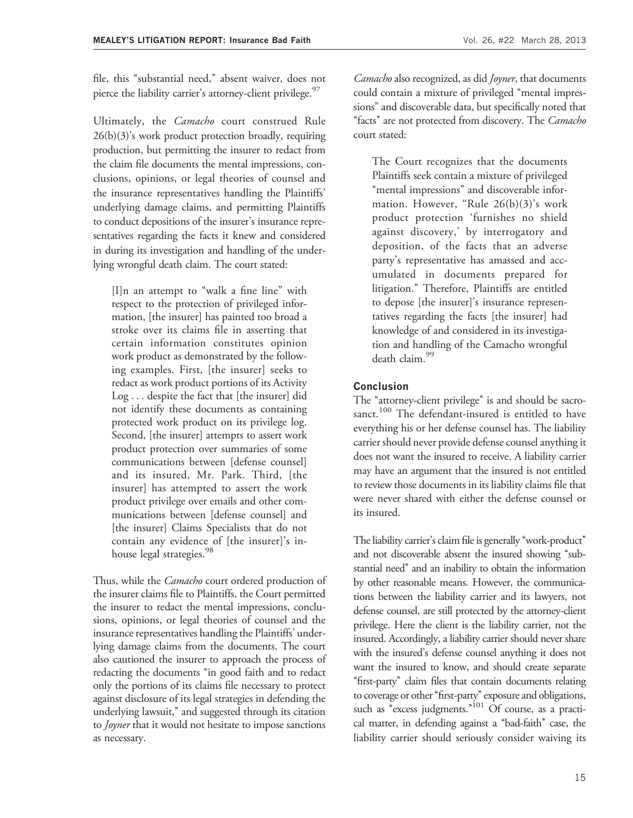file, this ''substantial need,'' absent waiver, does not pierce the liability carrier's attorney-client privilege. $\frac{9}{2}$ 

Ultimately, the *Camacho* court construed Rule  $26(b)(3)$ 's work product protection broadly, requiring production, but permitting the insurer to redact from the claim file documents the mental impressions, conclusions, opinions, or legal theories of counsel and the insurance representatives handling the Plaintiffs' underlying damage claims, and permitting Plaintiffs to conduct depositions of the insurer's insurance representatives regarding the facts it knew and considered in during its investigation and handling of the underlying wrongful death claim. The court stated:

[I]n an attempt to "walk a fine line" with respect to the protection of privileged information, [the insurer] has painted too broad a stroke over its claims file in asserting that certain information constitutes opinion work product as demonstrated by the following examples. First, [the insurer] seeks to redact as work product portions of its Activity Log ... despite the fact that [the insurer] did not identify these documents as containing protected work product on its privilege log. Second, [the insurer] attempts to assert work product protection over summaries of some communications between [defense counsel] and its insured, Mr. Park. Third, [the insurer] has attempted to assert the work product privilege over emails and other communications between [defense counsel] and [the insurer] Claims Specialists that do not contain any evidence of [the insurer]'s inhouse legal strategies.<sup>98</sup>

Thus, while the *Camacho* court ordered production of the insurer claims file to Plaintiffs, the Court permitted the insurer to redact the mental impressions, conclusions, opinions, or legal theories of counsel and the insurance representatives handling the Plaintiffs' underlying damage claims from the documents. The court also cautioned the insurer to approach the process of redacting the documents ''in good faith and to redact only the portions of its claims file necessary to protect against disclosure of its legal strategies in defending the underlying lawsuit,'' and suggested through its citation to *Joyner* that it would not hesitate to impose sanctions as necessary.

Camacho also recognized, as did Joyner, that documents could contain a mixture of privileged "mental impressions'' and discoverable data, but specifically noted that "facts" are not protected from discovery. The Camacho court stated:

The Court recognizes that the documents Plaintiffs seek contain a mixture of privileged "mental impressions" and discoverable information. However, "Rule  $26(b)(3)$ 's work product protection 'furnishes no shield against discovery,' by interrogatory and deposition, of the facts that an adverse party's representative has amassed and accumulated in documents prepared for litigation.'' Therefore, Plaintiffs are entitled to depose [the insurer]'s insurance representatives regarding the facts [the insurer] had knowledge of and considered in its investigation and handling of the Camacho wrongful death claim.<sup>99</sup>

#### Conclusion

The "attorney-client privilege" is and should be sacrosanct.<sup>100</sup> The defendant-insured is entitled to have everything his or her defense counsel has. The liability carrier should never provide defense counsel anything it does not want the insured to receive. A liability carrier may have an argument that the insured is not entitled to review those documents in its liability claims file that were never shared with either the defense counsel or its insured.

The liability carrier's claim file is generally "work-product" and not discoverable absent the insured showing "substantial need'' and an inability to obtain the information by other reasonable means. However, the communications between the liability carrier and its lawyers, not defense counsel, are still protected by the attorney-client privilege. Here the client is the liability carrier, not the insured. Accordingly, a liability carrier should never share with the insured's defense counsel anything it does not want the insured to know, and should create separate "first-party" claim files that contain documents relating to coverage or other "first-party" exposure and obligations, such as "excess judgments."<sup>101</sup> Of course, as a practical matter, in defending against a ''bad-faith'' case, the liability carrier should seriously consider waiving its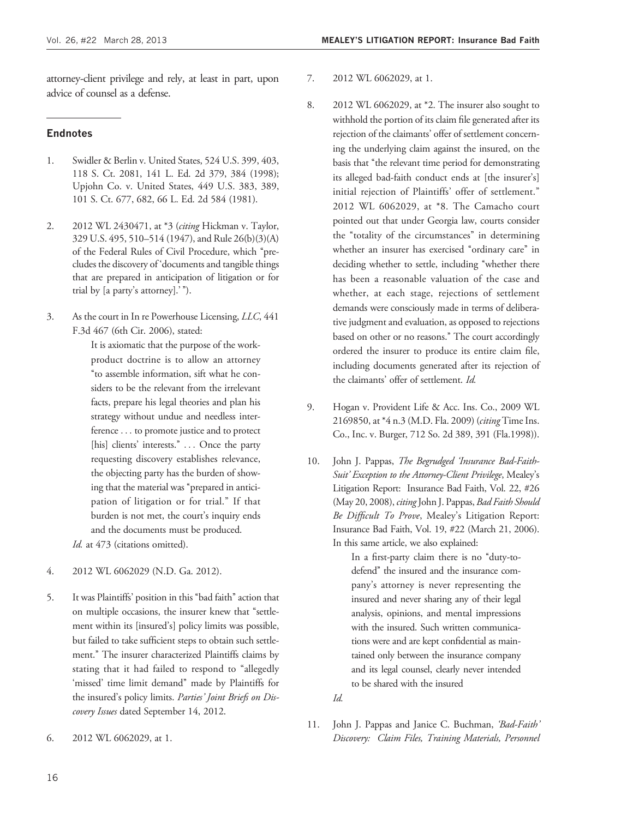attorney-client privilege and rely, at least in part, upon advice of counsel as a defense.

#### **Endnotes**

- 1. Swidler & Berlin v. United States, 524 U.S. 399, 403, 118 S. Ct. 2081, 141 L. Ed. 2d 379, 384 (1998); Upjohn Co. v. United States, 449 U.S. 383, 389, 101 S. Ct. 677, 682, 66 L. Ed. 2d 584 (1981).
- 2. 2012 WL 2430471, at \*3 (citing Hickman v. Taylor, 329 U.S. 495, 510–514 (1947), and Rule 26(b)(3)(A) of the Federal Rules of Civil Procedure, which "precludes the discovery of 'documents and tangible things that are prepared in anticipation of litigation or for trial by [a party's attorney].'").
- 3. As the court in In re Powerhouse Licensing, LLC, 441 F.3d 467 (6th Cir. 2006), stated:

It is axiomatic that the purpose of the workproduct doctrine is to allow an attorney ''to assemble information, sift what he considers to be the relevant from the irrelevant facts, prepare his legal theories and plan his strategy without undue and needless interference ... to promote justice and to protect [his] clients' interests." ... Once the party requesting discovery establishes relevance, the objecting party has the burden of showing that the material was "prepared in anticipation of litigation or for trial.'' If that burden is not met, the court's inquiry ends and the documents must be produced.

Id. at 473 (citations omitted).

- 4. 2012 WL 6062029 (N.D. Ga. 2012).
- 5. It was Plaintiffs' position in this ''bad faith'' action that on multiple occasions, the insurer knew that "settlement within its [insured's] policy limits was possible, but failed to take sufficient steps to obtain such settlement.'' The insurer characterized Plaintiffs claims by stating that it had failed to respond to "allegedly 'missed' time limit demand'' made by Plaintiffs for the insured's policy limits. Parties' Joint Briefs on Discovery Issues dated September 14, 2012.
- 6. 2012 WL 6062029, at 1.
- 7. 2012 WL 6062029, at 1.
- 8. 2012 WL 6062029, at \*2. The insurer also sought to withhold the portion of its claim file generated after its rejection of the claimants' offer of settlement concerning the underlying claim against the insured, on the basis that ''the relevant time period for demonstrating its alleged bad-faith conduct ends at [the insurer's] initial rejection of Plaintiffs' offer of settlement.'' 2012 WL 6062029, at \*8. The Camacho court pointed out that under Georgia law, courts consider the ''totality of the circumstances'' in determining whether an insurer has exercised "ordinary care" in deciding whether to settle, including ''whether there has been a reasonable valuation of the case and whether, at each stage, rejections of settlement demands were consciously made in terms of deliberative judgment and evaluation, as opposed to rejections based on other or no reasons.'' The court accordingly ordered the insurer to produce its entire claim file, including documents generated after its rejection of the claimants' offer of settlement. Id.
- 9. Hogan v. Provident Life & Acc. Ins. Co., 2009 WL 2169850, at \*4 n.3 (M.D. Fla. 2009) (citing Time Ins. Co., Inc. v. Burger, 712 So. 2d 389, 391 (Fla.1998)).
- 10. John J. Pappas, The Begrudged 'Insurance Bad-Faith-Suit' Exception to the Attorney-Client Privilege, Mealey's Litigation Report: Insurance Bad Faith, Vol. 22, #26 (May 20, 2008), citing John J. Pappas, Bad Faith Should Be Difficult To Prove, Mealey's Litigation Report: Insurance Bad Faith, Vol. 19, #22 (March 21, 2006). In this same article, we also explained:

In a first-party claim there is no "duty-todefend'' the insured and the insurance company's attorney is never representing the insured and never sharing any of their legal analysis, opinions, and mental impressions with the insured. Such written communications were and are kept confidential as maintained only between the insurance company and its legal counsel, clearly never intended to be shared with the insured

Id.

11. John J. Pappas and Janice C. Buchman, 'Bad-Faith' Discovery: Claim Files, Training Materials, Personnel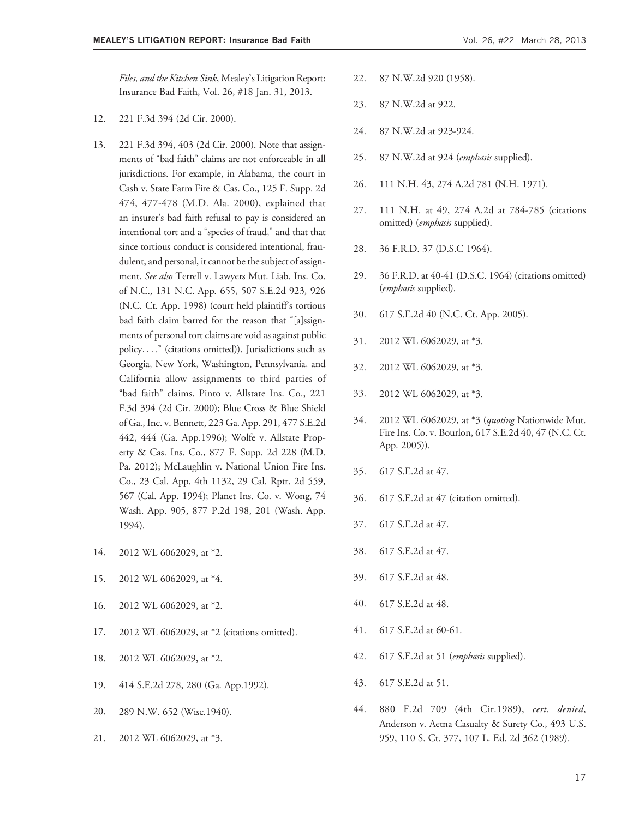- 12. 221 F.3d 394 (2d Cir. 2000).
- 13. 221 F.3d 394, 403 (2d Cir. 2000). Note that assignments of "bad faith" claims are not enforceable in all jurisdictions. For example, in Alabama, the court in Cash v. State Farm Fire & Cas. Co., 125 F. Supp. 2d 474, 477-478 (M.D. Ala. 2000), explained that an insurer's bad faith refusal to pay is considered an intentional tort and a "species of fraud," and that that since tortious conduct is considered intentional, fraudulent, and personal, it cannot be the subject of assignment. See also Terrell v. Lawyers Mut. Liab. Ins. Co. of N.C., 131 N.C. App. 655, 507 S.E.2d 923, 926 (N.C. Ct. App. 1998) (court held plaintiff's tortious bad faith claim barred for the reason that "[a]ssignments of personal tort claims are void as against public policy... .'' (citations omitted)). Jurisdictions such as Georgia, New York, Washington, Pennsylvania, and California allow assignments to third parties of ''bad faith'' claims. Pinto v. Allstate Ins. Co., 221 F.3d 394 (2d Cir. 2000); Blue Cross & Blue Shield of Ga., Inc. v. Bennett, 223 Ga. App. 291, 477 S.E.2d 442, 444 (Ga. App.1996); Wolfe v. Allstate Property & Cas. Ins. Co., 877 F. Supp. 2d 228 (M.D. Pa. 2012); McLaughlin v. National Union Fire Ins. Co., 23 Cal. App. 4th 1132, 29 Cal. Rptr. 2d 559, 567 (Cal. App. 1994); Planet Ins. Co. v. Wong, 74 Wash. App. 905, 877 P.2d 198, 201 (Wash. App. 1994).
- 14. 2012 WL 6062029, at \*2.
- 15. 2012 WL 6062029, at \*4.
- 16. 2012 WL 6062029, at \*2.
- 17. 2012 WL 6062029, at \*2 (citations omitted).
- 18. 2012 WL 6062029, at \*2.
- 19. 414 S.E.2d 278, 280 (Ga. App.1992).
- 20. 289 N.W. 652 (Wisc.1940).
- 21. 2012 WL 6062029, at \*3.
- 22. 87 N.W.2d 920 (1958).
- 23. 87 N.W.2d at 922.
- 24. 87 N.W.2d at 923-924.
- 25. 87 N.W.2d at 924 (emphasis supplied).
- 26. 111 N.H. 43, 274 A.2d 781 (N.H. 1971).
- 27. 111 N.H. at 49, 274 A.2d at 784-785 (citations omitted) (*emphasis* supplied).
- 28. 36 F.R.D. 37 (D.S.C 1964).
- 29. 36 F.R.D. at 40-41 (D.S.C. 1964) (citations omitted) (emphasis supplied).
- 30. 617 S.E.2d 40 (N.C. Ct. App. 2005).
- 31. 2012 WL 6062029, at \*3.
- 32. 2012 WL 6062029, at \*3.
- 33. 2012 WL 6062029, at \*3.
- 34. 2012 WL 6062029, at \*3 (quoting Nationwide Mut. Fire Ins. Co. v. Bourlon, 617 S.E.2d 40, 47 (N.C. Ct. App. 2005)).
- 35. 617 S.E.2d at 47.
- 36. 617 S.E.2d at 47 (citation omitted).
- 37. 617 S.E.2d at 47.
- 38. 617 S.E.2d at 47.
- 39. 617 S.E.2d at 48.
- 40. 617 S.E.2d at 48.
- 41. 617 S.E.2d at 60-61.
- 42. 617 S.E.2d at 51 (emphasis supplied).
- 43. 617 S.E.2d at 51.
- 44. 880 F.2d 709 (4th Cir.1989), cert. denied, Anderson v. Aetna Casualty & Surety Co., 493 U.S. 959, 110 S. Ct. 377, 107 L. Ed. 2d 362 (1989).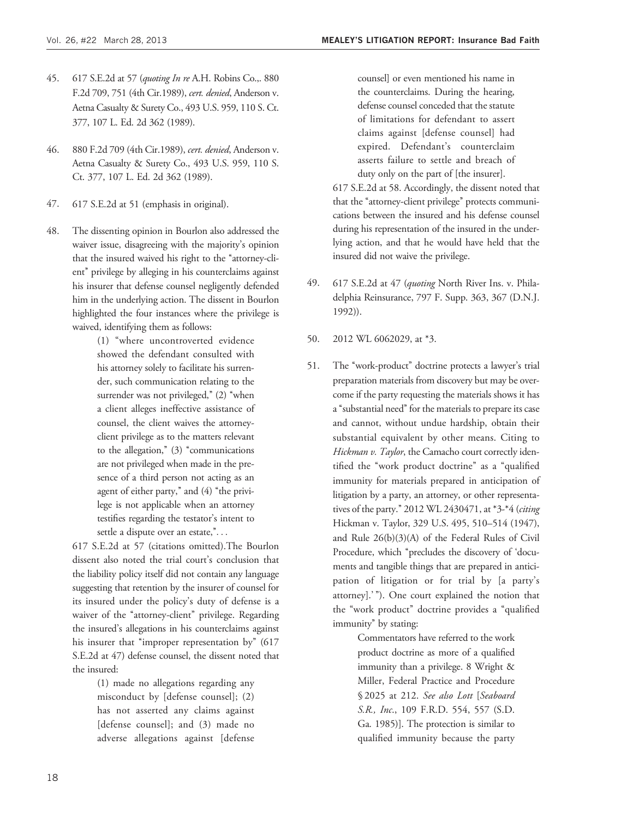- 45. 617 S.E.2d at 57 (quoting In re A.H. Robins Co.,. 880 F.2d 709, 751 (4th Cir.1989), cert. denied, Anderson v. Aetna Casualty & Surety Co., 493 U.S. 959, 110 S. Ct. 377, 107 L. Ed. 2d 362 (1989).
- 46. 880 F.2d 709 (4th Cir.1989), cert. denied, Anderson v. Aetna Casualty & Surety Co., 493 U.S. 959, 110 S. Ct. 377, 107 L. Ed. 2d 362 (1989).
- 47. 617 S.E.2d at 51 (emphasis in original).
- 48. The dissenting opinion in Bourlon also addressed the waiver issue, disagreeing with the majority's opinion that the insured waived his right to the "attorney-client'' privilege by alleging in his counterclaims against his insurer that defense counsel negligently defended him in the underlying action. The dissent in Bourlon highlighted the four instances where the privilege is waived, identifying them as follows:

(1) ''where uncontroverted evidence showed the defendant consulted with his attorney solely to facilitate his surrender, such communication relating to the surrender was not privileged," (2) "when a client alleges ineffective assistance of counsel, the client waives the attorneyclient privilege as to the matters relevant to the allegation,"  $(3)$  "communications" are not privileged when made in the presence of a third person not acting as an agent of either party," and (4) "the privilege is not applicable when an attorney testifies regarding the testator's intent to settle a dispute over an estate,"...

617 S.E.2d at 57 (citations omitted).The Bourlon dissent also noted the trial court's conclusion that the liability policy itself did not contain any language suggesting that retention by the insurer of counsel for its insured under the policy's duty of defense is a waiver of the "attorney-client" privilege. Regarding the insured's allegations in his counterclaims against his insurer that "improper representation by" (617 S.E.2d at 47) defense counsel, the dissent noted that the insured:

> (1) made no allegations regarding any misconduct by [defense counsel]; (2) has not asserted any claims against [defense counsel]; and (3) made no adverse allegations against [defense

counsel] or even mentioned his name in the counterclaims. During the hearing, defense counsel conceded that the statute of limitations for defendant to assert claims against [defense counsel] had expired. Defendant's counterclaim asserts failure to settle and breach of duty only on the part of [the insurer].

617 S.E.2d at 58. Accordingly, the dissent noted that that the "attorney-client privilege" protects communications between the insured and his defense counsel during his representation of the insured in the underlying action, and that he would have held that the insured did not waive the privilege.

- 49. 617 S.E.2d at 47 (quoting North River Ins. v. Philadelphia Reinsurance, 797 F. Supp. 363, 367 (D.N.J. 1992)).
- 50. 2012 WL 6062029, at \*3.
- 51. The ''work-product'' doctrine protects a lawyer's trial preparation materials from discovery but may be overcome if the party requesting the materials shows it has a ''substantial need'' for the materials to prepare its case and cannot, without undue hardship, obtain their substantial equivalent by other means. Citing to Hickman v. Taylor, the Camacho court correctly identified the ''work product doctrine'' as a ''qualified immunity for materials prepared in anticipation of litigation by a party, an attorney, or other representatives of the party." 2012 WL 2430471, at \*3-\*4 (citing Hickman v. Taylor, 329 U.S. 495, 510–514 (1947), and Rule 26(b)(3)(A) of the Federal Rules of Civil Procedure, which "precludes the discovery of 'documents and tangible things that are prepared in anticipation of litigation or for trial by [a party's attorney].'"). One court explained the notion that the ''work product'' doctrine provides a ''qualified immunity'' by stating:

Commentators have referred to the work product doctrine as more of a qualified immunity than a privilege. 8 Wright & Miller, Federal Practice and Procedure § 2025 at 212. See also Lott [Seaboard S.R., Inc., 109 F.R.D. 554, 557 (S.D. Ga. 1985)]. The protection is similar to qualified immunity because the party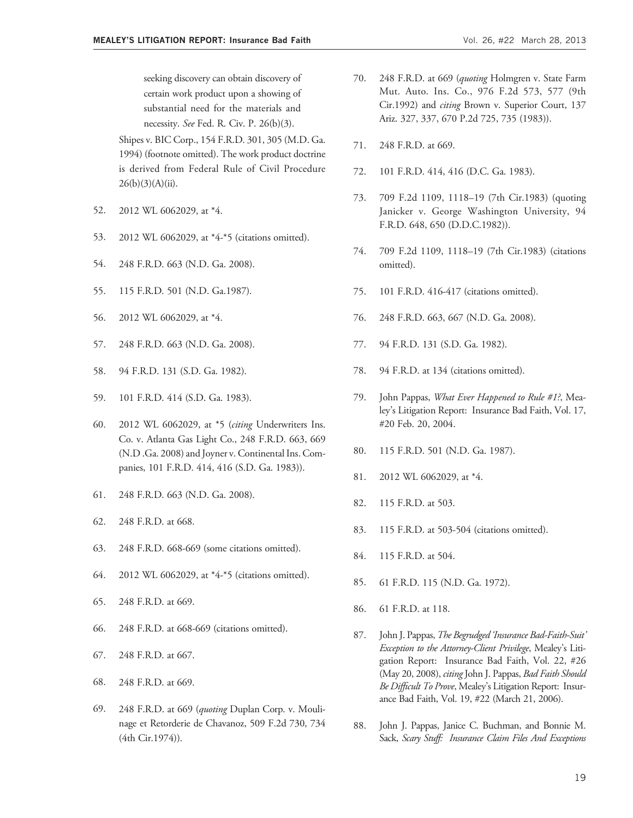seeking discovery can obtain discovery of certain work product upon a showing of substantial need for the materials and necessity. See Fed. R. Civ. P. 26(b)(3).

Shipes v. BIC Corp., 154 F.R.D. 301, 305 (M.D. Ga. 1994) (footnote omitted). The work product doctrine is derived from Federal Rule of Civil Procedure  $26(b)(3)(A)(ii)$ .

- 52. 2012 WL 6062029, at \*4.
- 53. 2012 WL 6062029, at \*4-\*5 (citations omitted).
- 54. 248 F.R.D. 663 (N.D. Ga. 2008).
- 55. 115 F.R.D. 501 (N.D. Ga.1987).
- 56. 2012 WL 6062029, at \*4.
- 57. 248 F.R.D. 663 (N.D. Ga. 2008).
- 58. 94 F.R.D. 131 (S.D. Ga. 1982).
- 59. 101 F.R.D. 414 (S.D. Ga. 1983).
- 60. 2012 WL 6062029, at \*5 (citing Underwriters Ins. Co. v. Atlanta Gas Light Co., 248 F.R.D. 663, 669 (N.D .Ga. 2008) and Joyner v. Continental Ins. Companies, 101 F.R.D. 414, 416 (S.D. Ga. 1983)).
- 61. 248 F.R.D. 663 (N.D. Ga. 2008).
- 62. 248 F.R.D. at 668.
- 63. 248 F.R.D. 668-669 (some citations omitted).
- 64. 2012 WL 6062029, at \*4-\*5 (citations omitted).
- 65. 248 F.R.D. at 669.
- 66. 248 F.R.D. at 668-669 (citations omitted).
- 67. 248 F.R.D. at 667.
- 68. 248 F.R.D. at 669.
- 69. 248 F.R.D. at 669 (quoting Duplan Corp. v. Moulinage et Retorderie de Chavanoz, 509 F.2d 730, 734 (4th Cir.1974)).
- 70. 248 F.R.D. at 669 (quoting Holmgren v. State Farm Mut. Auto. Ins. Co., 976 F.2d 573, 577 (9th Cir.1992) and citing Brown v. Superior Court, 137 Ariz. 327, 337, 670 P.2d 725, 735 (1983)).
- 71. 248 F.R.D. at 669.
- 72. 101 F.R.D. 414, 416 (D.C. Ga. 1983).
- 73. 709 F.2d 1109, 1118–19 (7th Cir.1983) (quoting Janicker v. George Washington University, 94 F.R.D. 648, 650 (D.D.C.1982)).
- 74. 709 F.2d 1109, 1118–19 (7th Cir.1983) (citations omitted).
- 75. 101 F.R.D. 416-417 (citations omitted).
- 76. 248 F.R.D. 663, 667 (N.D. Ga. 2008).
- 77. 94 F.R.D. 131 (S.D. Ga. 1982).
- 78. 94 F.R.D. at 134 (citations omitted).
- 79. John Pappas, What Ever Happened to Rule #1?, Mealey's Litigation Report: Insurance Bad Faith, Vol. 17, #20 Feb. 20, 2004.
- 80. 115 F.R.D. 501 (N.D. Ga. 1987).
- 81. 2012 WL 6062029, at \*4.
- 82. 115 F.R.D. at 503.
- 83. 115 F.R.D. at 503-504 (citations omitted).
- 84. 115 F.R.D. at 504.
- 85. 61 F.R.D. 115 (N.D. Ga. 1972).
- 86. 61 F.R.D. at 118.
- 87. John J. Pappas, The Begrudged 'Insurance Bad-Faith-Suit' Exception to the Attorney-Client Privilege, Mealey's Litigation Report: Insurance Bad Faith, Vol. 22, #26 (May 20, 2008), citing John J. Pappas, *Bad Faith Should* Be Difficult To Prove, Mealey's Litigation Report: Insurance Bad Faith, Vol. 19, #22 (March 21, 2006).
- 88. John J. Pappas, Janice C. Buchman, and Bonnie M. Sack, Scary Stuff: Insurance Claim Files And Exceptions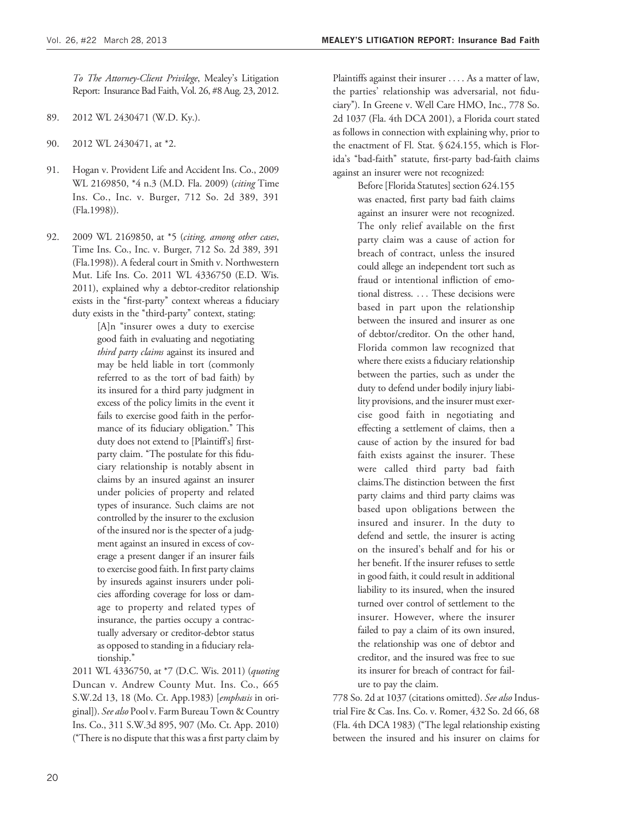To The Attorney-Client Privilege, Mealey's Litigation Report: Insurance Bad Faith, Vol. 26, #8 Aug. 23, 2012.

- 89. 2012 WL 2430471 (W.D. Ky.).
- 90. 2012 WL 2430471, at \*2.
- 91. Hogan v. Provident Life and Accident Ins. Co., 2009 WL 2169850, \*4 n.3 (M.D. Fla. 2009) (citing Time Ins. Co., Inc. v. Burger, 712 So. 2d 389, 391 (Fla.1998)).
- 92. 2009 WL 2169850, at \*5 (citing, among other cases, Time Ins. Co., Inc. v. Burger, 712 So. 2d 389, 391 (Fla.1998)). A federal court in Smith v. Northwestern Mut. Life Ins. Co. 2011 WL 4336750 (E.D. Wis. 2011), explained why a debtor-creditor relationship exists in the "first-party" context whereas a fiduciary duty exists in the "third-party" context, stating:

[A]n "insurer owes a duty to exercise good faith in evaluating and negotiating third party claims against its insured and may be held liable in tort (commonly referred to as the tort of bad faith) by its insured for a third party judgment in excess of the policy limits in the event it fails to exercise good faith in the performance of its fiduciary obligation.'' This duty does not extend to [Plaintiff's] firstparty claim. "The postulate for this fiduciary relationship is notably absent in claims by an insured against an insurer under policies of property and related types of insurance. Such claims are not controlled by the insurer to the exclusion of the insured nor is the specter of a judgment against an insured in excess of coverage a present danger if an insurer fails to exercise good faith. In first party claims by insureds against insurers under policies affording coverage for loss or damage to property and related types of insurance, the parties occupy a contractually adversary or creditor-debtor status as opposed to standing in a fiduciary relationship.''

2011 WL 4336750, at \*7 (D.C. Wis. 2011) (quoting Duncan v. Andrew County Mut. Ins. Co., 665 S.W.2d 13, 18 (Mo. Ct. App.1983) [emphasis in original]). See also Pool v. Farm Bureau Town & Country Ins. Co., 311 S.W.3d 895, 907 (Mo. Ct. App. 2010) (''There is no dispute that this was a first party claim by

Plaintiffs against their insurer ... . As a matter of law, the parties' relationship was adversarial, not fiduciary''). In Greene v. Well Care HMO, Inc., 778 So. 2d 1037 (Fla. 4th DCA 2001), a Florida court stated as follows in connection with explaining why, prior to the enactment of Fl. Stat. § 624.155, which is Florida's ''bad-faith'' statute, first-party bad-faith claims against an insurer were not recognized:

> Before [Florida Statutes] section 624.155 was enacted, first party bad faith claims against an insurer were not recognized. The only relief available on the first party claim was a cause of action for breach of contract, unless the insured could allege an independent tort such as fraud or intentional infliction of emotional distress. ... These decisions were based in part upon the relationship between the insured and insurer as one of debtor/creditor. On the other hand, Florida common law recognized that where there exists a fiduciary relationship between the parties, such as under the duty to defend under bodily injury liability provisions, and the insurer must exercise good faith in negotiating and effecting a settlement of claims, then a cause of action by the insured for bad faith exists against the insurer. These were called third party bad faith claims.The distinction between the first party claims and third party claims was based upon obligations between the insured and insurer. In the duty to defend and settle, the insurer is acting on the insured's behalf and for his or her benefit. If the insurer refuses to settle in good faith, it could result in additional liability to its insured, when the insured turned over control of settlement to the insurer. However, where the insurer failed to pay a claim of its own insured, the relationship was one of debtor and creditor, and the insured was free to sue its insurer for breach of contract for failure to pay the claim.

778 So. 2d at 1037 (citations omitted). See also Industrial Fire & Cas. Ins. Co. v. Romer, 432 So. 2d 66, 68 (Fla. 4th DCA 1983) (''The legal relationship existing between the insured and his insurer on claims for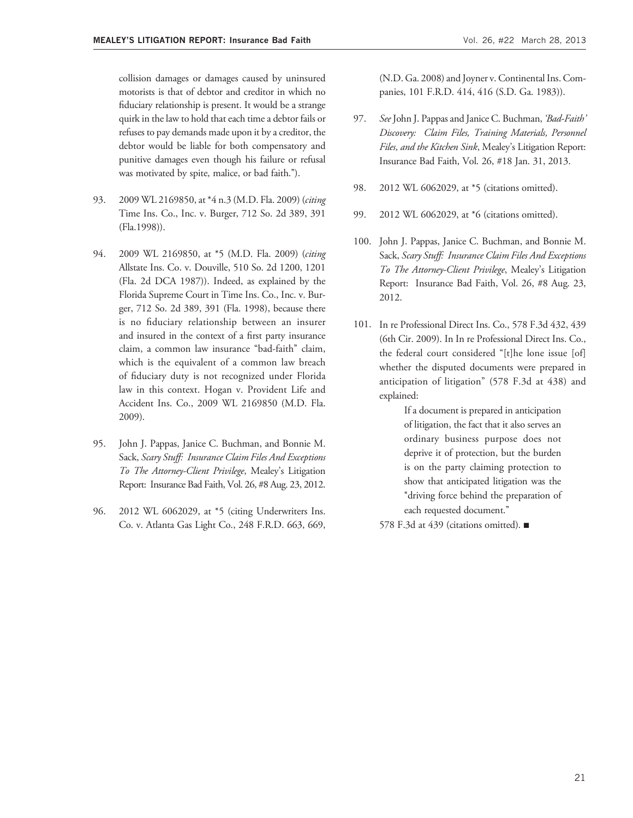collision damages or damages caused by uninsured motorists is that of debtor and creditor in which no fiduciary relationship is present. It would be a strange quirk in the law to hold that each time a debtor fails or refuses to pay demands made upon it by a creditor, the debtor would be liable for both compensatory and punitive damages even though his failure or refusal was motivated by spite, malice, or bad faith.").

- 93. 2009 WL 2169850, at \*4 n.3 (M.D. Fla. 2009) (citing Time Ins. Co., Inc. v. Burger, 712 So. 2d 389, 391 (Fla.1998)).
- 94. 2009 WL 2169850, at \*5 (M.D. Fla. 2009) (citing Allstate Ins. Co. v. Douville, 510 So. 2d 1200, 1201 (Fla. 2d DCA 1987)). Indeed, as explained by the Florida Supreme Court in Time Ins. Co., Inc. v. Burger, 712 So. 2d 389, 391 (Fla. 1998), because there is no fiduciary relationship between an insurer and insured in the context of a first party insurance claim, a common law insurance ''bad-faith'' claim, which is the equivalent of a common law breach of fiduciary duty is not recognized under Florida law in this context. Hogan v. Provident Life and Accident Ins. Co., 2009 WL 2169850 (M.D. Fla. 2009).
- 95. John J. Pappas, Janice C. Buchman, and Bonnie M. Sack, Scary Stuff: Insurance Claim Files And Exceptions To The Attorney-Client Privilege, Mealey's Litigation Report: Insurance Bad Faith, Vol. 26, #8 Aug. 23, 2012.
- 96. 2012 WL 6062029, at \*5 (citing Underwriters Ins. Co. v. Atlanta Gas Light Co., 248 F.R.D. 663, 669,

(N.D. Ga. 2008) and Joyner v. Continental Ins. Companies, 101 F.R.D. 414, 416 (S.D. Ga. 1983)).

- 97. See John J. Pappas and Janice C. Buchman, 'Bad-Faith' Discovery: Claim Files, Training Materials, Personnel Files, and the Kitchen Sink, Mealey's Litigation Report: Insurance Bad Faith, Vol. 26, #18 Jan. 31, 2013.
- 98. 2012 WL 6062029, at \*5 (citations omitted).
- 99. 2012 WL 6062029, at \*6 (citations omitted).
- 100. John J. Pappas, Janice C. Buchman, and Bonnie M. Sack, Scary Stuff: Insurance Claim Files And Exceptions To The Attorney-Client Privilege, Mealey's Litigation Report: Insurance Bad Faith, Vol. 26, #8 Aug. 23, 2012.
- 101. In re Professional Direct Ins. Co., 578 F.3d 432, 439 (6th Cir. 2009). In In re Professional Direct Ins. Co., the federal court considered ''[t]he lone issue [of] whether the disputed documents were prepared in anticipation of litigation'' (578 F.3d at 438) and explained:

If a document is prepared in anticipation of litigation, the fact that it also serves an ordinary business purpose does not deprive it of protection, but the burden is on the party claiming protection to show that anticipated litigation was the ''driving force behind the preparation of each requested document."

578 F.3d at 439 (citations omitted). ■